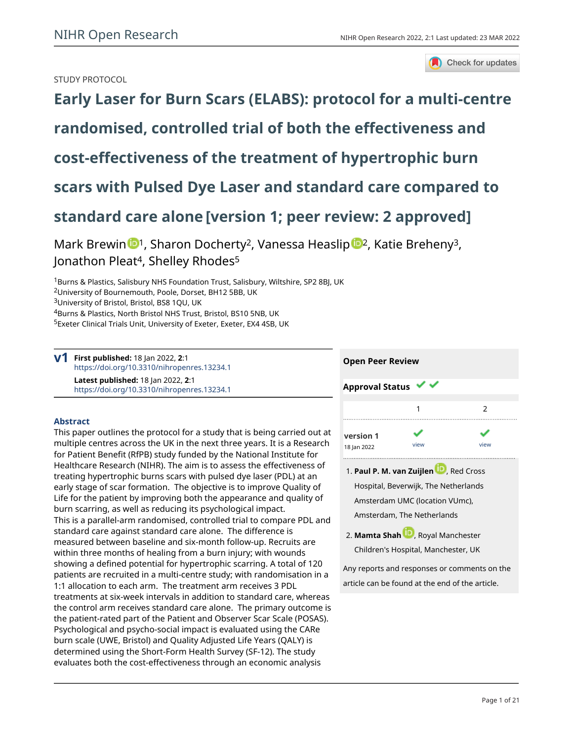

# STUDY PROTOCOL

**[Early Laser for Burn Scars \(ELABS\): protocol for a multi-centre](https://openresearch.nihr.ac.uk/articles/2-1/v1) [randomised, controlled trial of both the effectiveness and](https://openresearch.nihr.ac.uk/articles/2-1/v1) [cost-effectiveness of the treatment of hypertrophic burn](https://openresearch.nihr.ac.uk/articles/2-1/v1) [scars with Pulsed Dye Laser and standard care compared to](https://openresearch.nihr.ac.uk/articles/2-1/v1) [standard care alone](https://openresearch.nihr.ac.uk/articles/2-1/v1) [version 1; peer review: 2 approved]**

Mark Brewin <sup>[1](https://orcid.org/0000-0002-4456-5885)</sup>, Sharon Docherty<sup>[2](https://orcid.org/0000-0003-2037-4002)</sup>, Vanessa Heaslip <sup>1</sup>, Katie Breheny<sup>3</sup>, Jonathon Pleat<sup>4</sup>, Shelley Rhodes<sup>5</sup>

<sup>1</sup>Burns & Plastics, Salisbury NHS Foundation Trust, Salisbury, Wiltshire, SP2 8BJ, UK

<sup>3</sup>University of Bristol, Bristol, BS8 1QU, UK

<sup>4</sup>Burns & Plastics, North Bristol NHS Trust, Bristol, BS10 5NB, UK

<sup>5</sup>Exeter Clinical Trials Unit, University of Exeter, Exeter, EX4 4SB, UK

**First published:** 18 Jan 2022, **2**:1 **v1** <https://doi.org/10.3310/nihropenres.13234.1> **Latest published:** 18 Jan 2022, **2**:1 <https://doi.org/10.3310/nihropenres.13234.1>

# **Abstract**

This paper outlines the protocol for a study that is being carried out at multiple centres across the UK in the next three years. It is a Research for Patient Benefit (RfPB) study funded by the National Institute for Healthcare Research (NIHR). The aim is to assess the effectiveness of treating hypertrophic burns scars with pulsed dye laser (PDL) at an early stage of scar formation. The objective is to improve Quality of Life for the patient by improving both the appearance and quality of burn scarring, as well as reducing its psychological impact. This is a parallel-arm randomised, controlled trial to compare PDL and standard care against standard care alone. The difference is measured between baseline and six-month follow-up. Recruits are within three months of healing from a burn injury; with wounds showing a defined potential for hypertrophic scarring. A total of 120 patients are recruited in a multi-centre study; with randomisation in a 1:1 allocation to each arm. The treatment arm receives 3 PDL treatments at six-week intervals in addition to standard care, whereas the control arm receives standard care alone. The primary outcome is the patient-rated part of the Patient and Observer Scar Scale (POSAS). Psychological and psycho-social impact is evaluated using the CARe burn scale (UWE, Bristol) and Quality Adjusted Life Years (QALY) is determined using the Short-Form Health Survey (SF-12). The study evaluates both the cost-effectiveness through an economic analysis



- **Paul P. M. van Zuijlen** , Red Cross 1. Hospital, Beverwijk, The Netherlands Amsterdam UMC (location VUmc), Amsterdam, The Netherlands
- **Mamta Shah** [,](https://orcid.org/0000-0001-7512-3214) Royal Manchester 2. Children's Hospital, Manchester, UK

Any reports and responses or comments on the article can be found at the end of the article.

<sup>2</sup>University of Bournemouth, Poole, Dorset, BH12 5BB, UK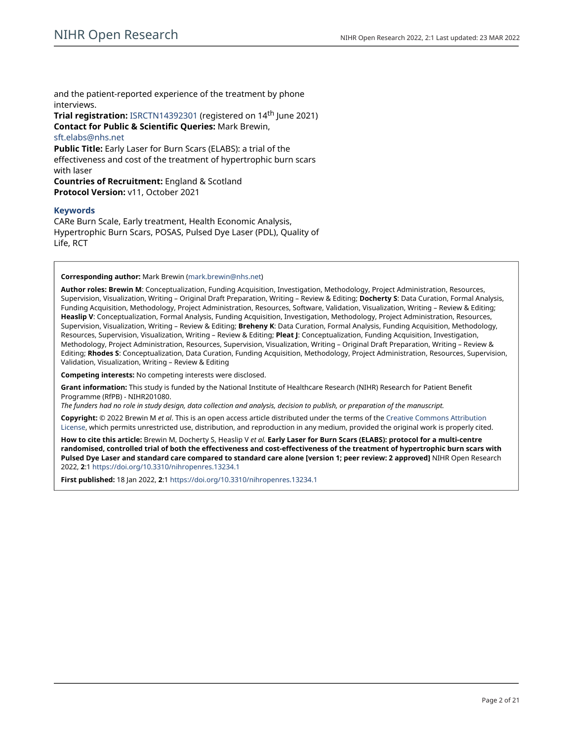and the patient-reported experience of the treatment by phone interviews.

**Trial registration:** [ISRCTN14392301](https://doi.org/10.1186/ISRCTN14392301) (registered on 14th June 2021) **Contact for Public & Scientific Queries:** Mark Brewin, [sft.elabs@nhs.net](mailto:sft.elabs@nhs.net) **Public Title:** Early Laser for Burn Scars (ELABS): a trial of the effectiveness and cost of the treatment of hypertrophic burn scars with laser **Countries of Recruitment:** England & Scotland

**Protocol Version:** v11, October 2021

## **Keywords**

CARe Burn Scale, Early treatment, Health Economic Analysis, Hypertrophic Burn Scars, POSAS, Pulsed Dye Laser (PDL), Quality of Life, RCT

## **Corresponding author:** Mark Brewin [\(mark.brewin@nhs.net](mailto:mark.brewin@nhs.net))

**Author roles: Brewin M**: Conceptualization, Funding Acquisition, Investigation, Methodology, Project Administration, Resources, Supervision, Visualization, Writing – Original Draft Preparation, Writing – Review & Editing; **Docherty S**: Data Curation, Formal Analysis, Funding Acquisition, Methodology, Project Administration, Resources, Software, Validation, Visualization, Writing – Review & Editing; **Heaslip V**: Conceptualization, Formal Analysis, Funding Acquisition, Investigation, Methodology, Project Administration, Resources, Supervision, Visualization, Writing – Review & Editing; **Breheny K**: Data Curation, Formal Analysis, Funding Acquisition, Methodology, Resources, Supervision, Visualization, Writing – Review & Editing; **Pleat J**: Conceptualization, Funding Acquisition, Investigation, Methodology, Project Administration, Resources, Supervision, Visualization, Writing – Original Draft Preparation, Writing – Review & Editing; **Rhodes S**: Conceptualization, Data Curation, Funding Acquisition, Methodology, Project Administration, Resources, Supervision, Validation, Visualization, Writing – Review & Editing

**Competing interests:** No competing interests were disclosed.

**Grant information:** This study is funded by the National Institute of Healthcare Research (NIHR) Research for Patient Benefit Programme (RfPB) - NIHR201080.

*The funders had no role in study design, data collection and analysis, decision to publish, or preparation of the manuscript.*

**Copyright:** © 2022 Brewin M *et al*. This is an open access article distributed under the terms of the [Creative Commons Attribution](http://creativecommons.org/licenses/by/4.0/) [License](http://creativecommons.org/licenses/by/4.0/), which permits unrestricted use, distribution, and reproduction in any medium, provided the original work is properly cited.

**How to cite this article:** Brewin M, Docherty S, Heaslip V *et al.* **Early Laser for Burn Scars (ELABS): protocol for a multi-centre randomised, controlled trial of both the effectiveness and cost-effectiveness of the treatment of hypertrophic burn scars with Pulsed Dye Laser and standard care compared to standard care alone [version 1; peer review: 2 approved]** NIHR Open Research 2022, **2**:1 <https://doi.org/10.3310/nihropenres.13234.1>

**First published:** 18 Jan 2022, **2**:1 <https://doi.org/10.3310/nihropenres.13234.1>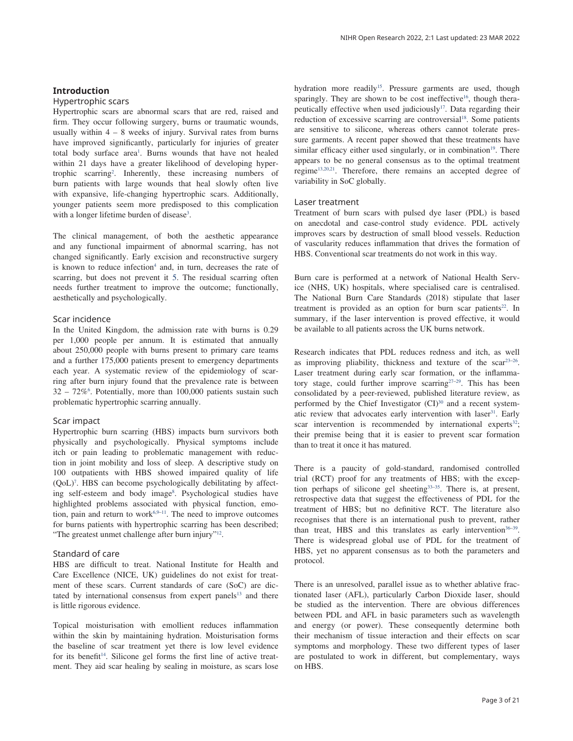#### **Introduction**

#### Hypertrophic scars

Hypertrophic scars are abnormal scars that are red, raised and firm. They occur following surgery, burns or traumatic wounds, usually within  $4 - 8$  weeks of injury. Survival rates from burns have improved significantly, particularly for injuries of greater total body surface area<sup>1</sup>. Burns wounds that have not healed within 21 days have a greater likelihood of developing hypertrophic scarring<sup>2</sup>. Inherently, these increasing numbers of burn patients with large wounds that heal slowly often live with expansive, life-changing hypertrophic scars. Additionally, younger patients seem more predisposed to this complication with a longer lifetime burden of disease<sup>[3](#page-15-0)</sup>.

The clinical management, of both the aesthetic appearance and any functional impairment of abnormal scarring, has not changed significantly. Early excision and reconstructive surgery is known to reduce infection<sup>4</sup> and, in turn, decreases the rate of scarring, but does not prevent it [5.](#page-15-0) The residual scarring often needs further treatment to improve the outcome; functionally, aesthetically and psychologically.

# Scar incidence

In the United Kingdom, the admission rate with burns is 0.29 per 1,000 people per annum. It is estimated that annually about 250,000 people with burns present to primary care teams and a further 175,000 patients present to emergency departments each year. A systematic review of the epidemiology of scarring after burn injury found that the prevalence rate is between  $32 - 72\%$ <sup>[6](#page-15-0)</sup>. Potentially, more than 100,000 patients sustain such problematic hypertrophic scarring annually.

#### Scar impact

Hypertrophic burn scarring (HBS) impacts burn survivors both physically and psychologically. Physical symptoms include itch or pain leading to problematic management with reduction in joint mobility and loss of sleep. A descriptive study on 100 outpatients with HBS showed impaired quality of life (QoL[\)7](#page-15-0) . HBS can become psychologically debilitating by affect-ing self-esteem and body image<sup>[8](#page-16-0)</sup>. Psychological studies have highlighted problems associated with physical function, emotion, pain and return to work $6.9-11$ . The need to improve outcomes for burns patients with hypertrophic scarring has been described; "The greatest unmet challenge after burn injury"[12.](#page-16-0)

#### Standard of care

HBS are difficult to treat. National Institute for Health and Care Excellence (NICE, UK) guidelines do not exist for treatment of these scars. Current standards of care (SoC) are dictated by international consensus from expert panels<sup>13</sup> and there is little rigorous evidence.

Topical moisturisation with emollient reduces inflammation within the skin by maintaining hydration. Moisturisation forms the baseline of scar treatment yet there is low level evidence for its benefit<sup>[14](#page-16-0)</sup>. Silicone gel forms the first line of active treatment. They aid scar healing by sealing in moisture, as scars lose hydration more readily<sup>15</sup>. Pressure garments are used, though sparingly. They are shown to be cost ineffective<sup>16</sup>, though therapeutically effective when used judiciously<sup>17</sup>. Data regarding their reduction of excessive scarring are controversial<sup>18</sup>. Some patients are sensitive to silicone, whereas others cannot tolerate pressure garments. A recent paper showed that these treatments have similar efficacy either used singularly, or in combination<sup>19</sup>. There appears to be no general consensus as to the optimal treatment regime<sup>[13,20,21](#page-16-0)</sup>. Therefore, there remains an accepted degree of variability in SoC globally.

# Laser treatment

Treatment of burn scars with pulsed dye laser (PDL) is based on anecdotal and case-control study evidence. PDL actively improves scars by destruction of small blood vessels. Reduction of vascularity reduces inflammation that drives the formation of HBS. Conventional scar treatments do not work in this way.

Burn care is performed at a network of National Health Service (NHS, UK) hospitals, where specialised care is centralised. The National Burn Care Standards (2018) stipulate that laser treatment is provided as an option for burn scar patients<sup>22</sup>. In summary, if the laser intervention is proved effective, it would be available to all patients across the UK burns network.

Research indicates that PDL reduces redness and itch, as well as improving pliability, thickness and texture of the sca[r23–26](#page-16-0). Laser treatment during early scar formation, or the inflammatory stage, could further improve scarring<sup>27-29</sup>. This has been consolidated by a peer-reviewed, published literature review, as performed by the Chief Investigator  $(CI)^{30}$  and a recent systematic review that advocates early intervention with laser<sup>31</sup>. Early scar intervention is recommended by international experts $32$ ; their premise being that it is easier to prevent scar formation than to treat it once it has matured.

There is a paucity of gold-standard, randomised controlled trial (RCT) proof for any treatments of HBS; with the exception perhaps of silicone gel sheeting<sup>33-35</sup>. There is, at present, retrospective data that suggest the effectiveness of PDL for the treatment of HBS; but no definitive RCT. The literature also recognises that there is an international push to prevent, rather than treat, HBS and this translates as early intervention<sup>36-39</sup>. There is widespread global use of PDL for the treatment of HBS, yet no apparent consensus as to both the parameters and protocol.

There is an unresolved, parallel issue as to whether ablative fractionated laser (AFL), particularly Carbon Dioxide laser, should be studied as the intervention. There are obvious differences between PDL and AFL in basic parameters such as wavelength and energy (or power). These consequently determine both their mechanism of tissue interaction and their effects on scar symptoms and morphology. These two different types of laser are postulated to work in different, but complementary, ways on HBS.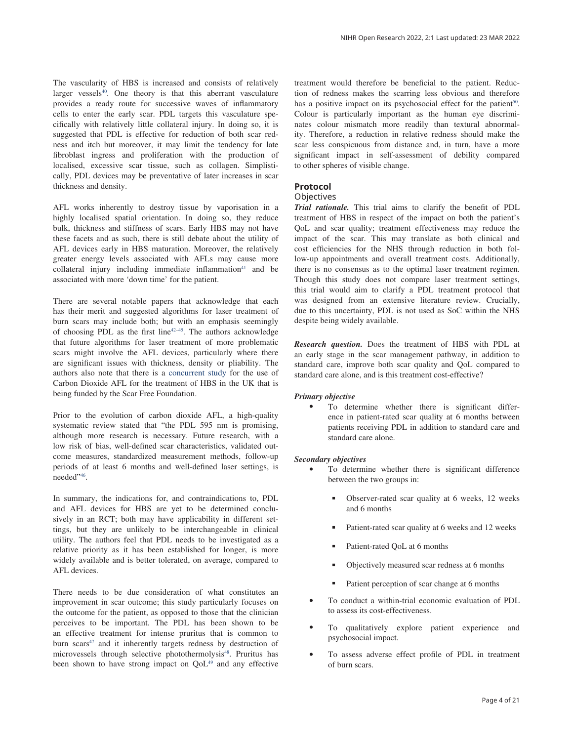The vascularity of HBS is increased and consists of relatively larger vessels<sup>[40](#page-16-0)</sup>. One theory is that this aberrant vasculature provides a ready route for successive waves of inflammatory cells to enter the early scar. PDL targets this vasculature specifically with relatively little collateral injury. In doing so, it is suggested that PDL is effective for reduction of both scar redness and itch but moreover, it may limit the tendency for late fibroblast ingress and proliferation with the production of localised, excessive scar tissue, such as collagen. Simplistically, PDL devices may be preventative of later increases in scar thickness and density.

AFL works inherently to destroy tissue by vaporisation in a highly localised spatial orientation. In doing so, they reduce bulk, thickness and stiffness of scars. Early HBS may not have these facets and as such, there is still debate about the utility of AFL devices early in HBS maturation. Moreover, the relatively greater energy levels associated with AFLs may cause more collateral injury including immediate inflammation $41$  and be associated with more 'down time' for the patient.

There are several notable papers that acknowledge that each has their merit and suggested algorithms for laser treatment of burn scars may include both; but with an emphasis seemingly of choosing PDL as the first line<sup>42–45</sup>. The authors acknowledge that future algorithms for laser treatment of more problematic scars might involve the AFL devices, particularly where there are significant issues with thickness, density or pliability. The authors also note that there is a [concurrent study](https://www.conflictwoundresearch.org.uk/projects/treatment-of-historic-existing-scars-scar-laser-project) for the use of Carbon Dioxide AFL for the treatment of HBS in the UK that is being funded by the Scar Free Foundation.

Prior to the evolution of carbon dioxide AFL, a high-quality systematic review stated that "the PDL 595 nm is promising, although more research is necessary. Future research, with a low risk of bias, well-defined scar characteristics, validated outcome measures, standardized measurement methods, follow-up periods of at least 6 months and well-defined laser settings, is needed["46](#page-16-0).

In summary, the indications for, and contraindications to, PDL and AFL devices for HBS are yet to be determined conclusively in an RCT; both may have applicability in different settings, but they are unlikely to be interchangeable in clinical utility. The authors feel that PDL needs to be investigated as a relative priority as it has been established for longer, is more widely available and is better tolerated, on average, compared to AFL devices.

There needs to be due consideration of what constitutes an improvement in scar outcome; this study particularly focuses on the outcome for the patient, as opposed to those that the clinician perceives to be important. The PDL has been shown to be an effective treatment for intense pruritus that is common to burn scars<sup>47</sup> and it inherently targets redness by destruction of microvessels through selective photothermolysis<sup>[48](#page-16-0)</sup>. Pruritus has been shown to have strong impact on QoL<sup>49</sup> and any effective treatment would therefore be beneficial to the patient. Reduction of redness makes the scarring less obvious and therefore has a positive impact on its psychosocial effect for the patient<sup>50</sup>. Colour is particularly important as the human eye discriminates colour mismatch more readily than textural abnormality. Therefore, a reduction in relative redness should make the scar less conspicuous from distance and, in turn, have a more significant impact in self-assessment of debility compared to other spheres of visible change.

# **Protocol**

#### **Objectives**

*Trial rationale.* This trial aims to clarify the benefit of PDL treatment of HBS in respect of the impact on both the patient's QoL and scar quality; treatment effectiveness may reduce the impact of the scar. This may translate as both clinical and cost efficiencies for the NHS through reduction in both follow-up appointments and overall treatment costs. Additionally, there is no consensus as to the optimal laser treatment regimen. Though this study does not compare laser treatment settings, this trial would aim to clarify a PDL treatment protocol that was designed from an extensive literature review. Crucially, due to this uncertainty, PDL is not used as SoC within the NHS despite being widely available.

*Research question.* Does the treatment of HBS with PDL at an early stage in the scar management pathway, in addition to standard care, improve both scar quality and QoL compared to standard care alone, and is this treatment cost-effective?

#### *Primary objective*

To determine whether there is significant difference in patient-rated scar quality at 6 months between patients receiving PDL in addition to standard care and standard care alone.

#### *Secondary objectives*

- To determine whether there is significant difference between the two groups in:
	- Observer-rated scar quality at 6 weeks, 12 weeks and 6 months
	- Patient-rated scar quality at 6 weeks and 12 weeks
	- Patient-rated OoL at 6 months
	- Objectively measured scar redness at 6 months
	- Patient perception of scar change at 6 months
- To conduct a within-trial economic evaluation of PDL to assess its cost-effectiveness.
- To qualitatively explore patient experience and psychosocial impact.
- To assess adverse effect profile of PDL in treatment of burn scars.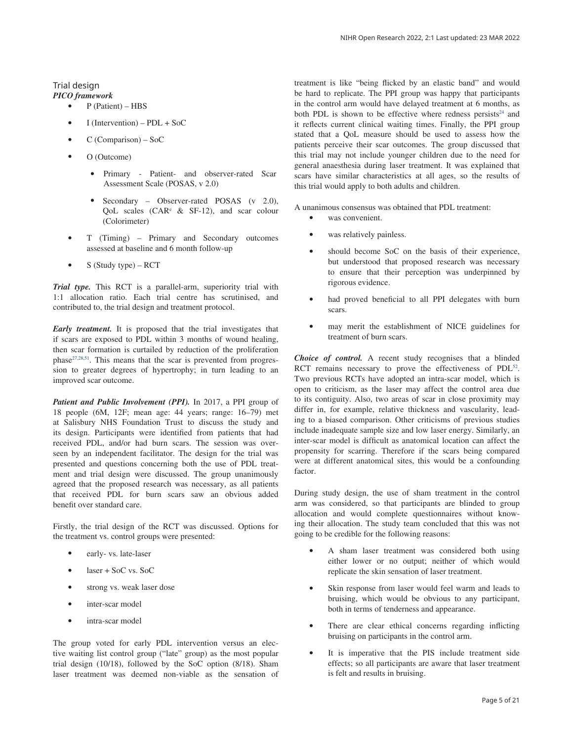# Trial design

*PICO framework*

- P (Patient) HBS
- I (Intervention) PDL + SoC
- C (Comparison) SoC
- O (Outcome)
	- Primary Patient- and observer-rated Scar Assessment Scale (POSAS, v 2.0)
	- Secondary Observer-rated POSAS (v 2.0), QoL scales ( $CAR^e$  & SF-12), and scar colour (Colorimeter)
- T (Timing) Primary and Secondary outcomes assessed at baseline and 6 month follow-up
- S (Study type) RCT

*Trial type.* This RCT is a parallel-arm, superiority trial with 1:1 allocation ratio. Each trial centre has scrutinised, and contributed to, the trial design and treatment protocol.

*Early treatment.* It is proposed that the trial investigates that if scars are exposed to PDL within 3 months of wound healing, then scar formation is curtailed by reduction of the proliferation phase<sup>27,28,51</sup>. This means that the scar is prevented from progression to greater degrees of hypertrophy; in turn leading to an improved scar outcome.

*Patient and Public Involvement (PPI).* In 2017, a PPI group of 18 people (6M, 12F; mean age: 44 years; range: 16–79) met at Salisbury NHS Foundation Trust to discuss the study and its design. Participants were identified from patients that had received PDL, and/or had burn scars. The session was overseen by an independent facilitator. The design for the trial was presented and questions concerning both the use of PDL treatment and trial design were discussed. The group unanimously agreed that the proposed research was necessary, as all patients that received PDL for burn scars saw an obvious added benefit over standard care.

Firstly, the trial design of the RCT was discussed. Options for the treatment vs. control groups were presented:

- early- vs. late-laser
- laser + SoC vs. SoC
- strong vs. weak laser dose
- inter-scar model
- intra-scar model

The group voted for early PDL intervention versus an elective waiting list control group ("late" group) as the most popular trial design (10/18), followed by the SoC option (8/18). Sham laser treatment was deemed non-viable as the sensation of treatment is like "being flicked by an elastic band" and would be hard to replicate. The PPI group was happy that participants in the control arm would have delayed treatment at 6 months, as both PDL is shown to be effective where redness persists<sup>24</sup> and it reflects current clinical waiting times. Finally, the PPI group stated that a QoL measure should be used to assess how the patients perceive their scar outcomes. The group discussed that this trial may not include younger children due to the need for general anaesthesia during laser treatment. It was explained that scars have similar characteristics at all ages, so the results of this trial would apply to both adults and children.

A unanimous consensus was obtained that PDL treatment:

- was convenient.
- was relatively painless.
- should become SoC on the basis of their experience, but understood that proposed research was necessary to ensure that their perception was underpinned by rigorous evidence.
- had proved beneficial to all PPI delegates with burn scars.
- may merit the establishment of NICE guidelines for treatment of burn scars.

*Choice of control.* A recent study recognises that a blinded RCT remains necessary to prove the effectiveness of PDL<sup>52</sup>. Two previous RCTs have adopted an intra-scar model, which is open to criticism, as the laser may affect the control area due to its contiguity. Also, two areas of scar in close proximity may differ in, for example, relative thickness and vascularity, leading to a biased comparison. Other criticisms of previous studies include inadequate sample size and low laser energy. Similarly, an inter-scar model is difficult as anatomical location can affect the propensity for scarring. Therefore if the scars being compared were at different anatomical sites, this would be a confounding factor.

During study design, the use of sham treatment in the control arm was considered, so that participants are blinded to group allocation and would complete questionnaires without knowing their allocation. The study team concluded that this was not going to be credible for the following reasons:

- A sham laser treatment was considered both using either lower or no output; neither of which would replicate the skin sensation of laser treatment.
- Skin response from laser would feel warm and leads to bruising, which would be obvious to any participant, both in terms of tenderness and appearance.
- There are clear ethical concerns regarding inflicting bruising on participants in the control arm.
- It is imperative that the PIS include treatment side effects; so all participants are aware that laser treatment is felt and results in bruising.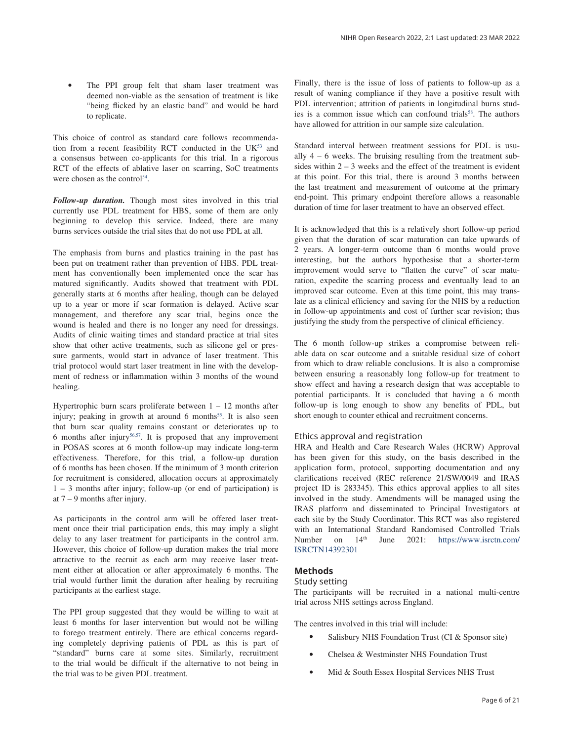The PPI group felt that sham laser treatment was deemed non-viable as the sensation of treatment is like "being flicked by an elastic band" and would be hard to replicate.

This choice of control as standard care follows recommendation from a recent feasibility RCT conducted in the  $UK<sup>53</sup>$  and a consensus between co-applicants for this trial. In a rigorous RCT of the effects of ablative laser on scarring, SoC treatments were chosen as the control<sup>54</sup>.

*Follow-up duration.* Though most sites involved in this trial currently use PDL treatment for HBS, some of them are only beginning to develop this service. Indeed, there are many burns services outside the trial sites that do not use PDL at all.

The emphasis from burns and plastics training in the past has been put on treatment rather than prevention of HBS. PDL treatment has conventionally been implemented once the scar has matured significantly. Audits showed that treatment with PDL generally starts at 6 months after healing, though can be delayed up to a year or more if scar formation is delayed. Active scar management, and therefore any scar trial, begins once the wound is healed and there is no longer any need for dressings. Audits of clinic waiting times and standard practice at trial sites show that other active treatments, such as silicone gel or pressure garments, would start in advance of laser treatment. This trial protocol would start laser treatment in line with the development of redness or inflammation within 3 months of the wound healing.

Hypertrophic burn scars proliferate between  $1 - 12$  months after injury; peaking in growth at around  $6$  months<sup>55</sup>. It is also seen that burn scar quality remains constant or deteriorates up to 6 months after injury<sup>[56,57](#page-17-0)</sup>. It is proposed that any improvement in POSAS scores at 6 month follow-up may indicate long-term effectiveness. Therefore, for this trial, a follow-up duration of 6 months has been chosen. If the minimum of 3 month criterion for recruitment is considered, allocation occurs at approximately 1 – 3 months after injury; follow-up (or end of participation) is at 7 – 9 months after injury.

As participants in the control arm will be offered laser treatment once their trial participation ends, this may imply a slight delay to any laser treatment for participants in the control arm. However, this choice of follow-up duration makes the trial more attractive to the recruit as each arm may receive laser treatment either at allocation or after approximately 6 months. The trial would further limit the duration after healing by recruiting participants at the earliest stage.

The PPI group suggested that they would be willing to wait at least 6 months for laser intervention but would not be willing to forego treatment entirely. There are ethical concerns regarding completely depriving patients of PDL as this is part of "standard" burns care at some sites. Similarly, recruitment to the trial would be difficult if the alternative to not being in the trial was to be given PDL treatment.

Finally, there is the issue of loss of patients to follow-up as a result of waning compliance if they have a positive result with PDL intervention; attrition of patients in longitudinal burns studies is a common issue which can confound trials<sup>58</sup>. The authors have allowed for attrition in our sample size calculation.

Standard interval between treatment sessions for PDL is usually  $4 - 6$  weeks. The bruising resulting from the treatment subsides within  $2 - 3$  weeks and the effect of the treatment is evident at this point. For this trial, there is around 3 months between the last treatment and measurement of outcome at the primary end-point. This primary endpoint therefore allows a reasonable duration of time for laser treatment to have an observed effect.

It is acknowledged that this is a relatively short follow-up period given that the duration of scar maturation can take upwards of 2 years. A longer-term outcome than 6 months would prove interesting, but the authors hypothesise that a shorter-term improvement would serve to "flatten the curve" of scar maturation, expedite the scarring process and eventually lead to an improved scar outcome. Even at this time point, this may translate as a clinical efficiency and saving for the NHS by a reduction in follow-up appointments and cost of further scar revision; thus justifying the study from the perspective of clinical efficiency.

The 6 month follow-up strikes a compromise between reliable data on scar outcome and a suitable residual size of cohort from which to draw reliable conclusions. It is also a compromise between ensuring a reasonably long follow-up for treatment to show effect and having a research design that was acceptable to potential participants. It is concluded that having a 6 month follow-up is long enough to show any benefits of PDL, but short enough to counter ethical and recruitment concerns.

#### Ethics approval and registration

HRA and Health and Care Research Wales (HCRW) Approval has been given for this study, on the basis described in the application form, protocol, supporting documentation and any clarifications received (REC reference 21/SW/0049 and IRAS project ID is 283345). This ethics approval applies to all sites involved in the study. Amendments will be managed using the IRAS platform and disseminated to Principal Investigators at each site by the Study Coordinator. This RCT was also registered with an International Standard Randomised Controlled Trials Number on 14<sup>th</sup> June 2021: [https://www.isrctn.com/](https://www.isrctn.com/ISRCTN14392301) [ISRCTN14392301](https://www.isrctn.com/ISRCTN14392301)

#### **Methods**

#### Study setting

The participants will be recruited in a national multi-centre trial across NHS settings across England.

The centres involved in this trial will include:

- Salisbury NHS Foundation Trust (CI & Sponsor site)
- Chelsea & Westminster NHS Foundation Trust
- Mid & South Essex Hospital Services NHS Trust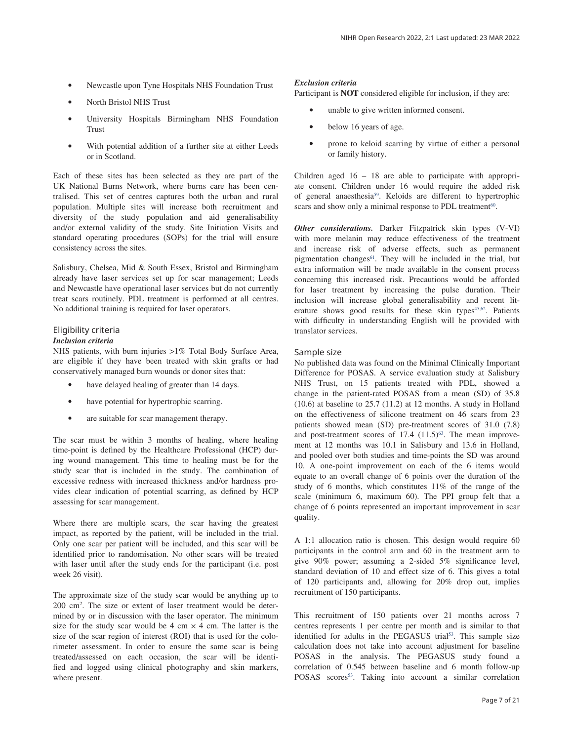- Newcastle upon Tyne Hospitals NHS Foundation Trust
- North Bristol NHS Trust
- University Hospitals Birmingham NHS Foundation Trust
- With potential addition of a further site at either Leeds or in Scotland.

Each of these sites has been selected as they are part of the UK National Burns Network, where burns care has been centralised. This set of centres captures both the urban and rural population. Multiple sites will increase both recruitment and diversity of the study population and aid generalisability and/or external validity of the study. Site Initiation Visits and standard operating procedures (SOPs) for the trial will ensure consistency across the sites.

Salisbury, Chelsea, Mid & South Essex, Bristol and Birmingham already have laser services set up for scar management; Leeds and Newcastle have operational laser services but do not currently treat scars routinely. PDL treatment is performed at all centres. No additional training is required for laser operators.

# Eligibility criteria

## *Inclusion criteria*

NHS patients, with burn injuries >1% Total Body Surface Area, are eligible if they have been treated with skin grafts or had conservatively managed burn wounds or donor sites that:

- have delayed healing of greater than 14 days.
- have potential for hypertrophic scarring.
- are suitable for scar management therapy.

The scar must be within 3 months of healing, where healing time-point is defined by the Healthcare Professional (HCP) during wound management. This time to healing must be for the study scar that is included in the study. The combination of excessive redness with increased thickness and/or hardness provides clear indication of potential scarring, as defined by HCP assessing for scar management.

Where there are multiple scars, the scar having the greatest impact, as reported by the patient, will be included in the trial. Only one scar per patient will be included, and this scar will be identified prior to randomisation. No other scars will be treated with laser until after the study ends for the participant (i.e. post week 26 visit).

The approximate size of the study scar would be anything up to 200 cm2 . The size or extent of laser treatment would be determined by or in discussion with the laser operator. The minimum size for the study scar would be 4 cm  $\times$  4 cm. The latter is the size of the scar region of interest (ROI) that is used for the colorimeter assessment. In order to ensure the same scar is being treated/assessed on each occasion, the scar will be identified and logged using clinical photography and skin markers, where present.

#### *Exclusion criteria*

Participant is **NOT** considered eligible for inclusion, if they are:

- unable to give written informed consent.
- below 16 years of age.
- prone to keloid scarring by virtue of either a personal or family history.

Children aged 16 – 18 are able to participate with appropriate consent. Children under 16 would require the added risk of general anaesthesia<sup>[59](#page-17-0)</sup>. Keloids are different to hypertrophic scars and show only a minimal response to PDL treatment<sup>60</sup>.

*Other considerations.* Darker Fitzpatrick skin types (V-VI) with more melanin may reduce effectiveness of the treatment and increase risk of adverse effects, such as permanent pigmentation changes<sup> $61$ </sup>. They will be included in the trial, but extra information will be made available in the consent process concerning this increased risk. Precautions would be afforded for laser treatment by increasing the pulse duration. Their inclusion will increase global generalisability and recent lit-erature shows good results for these skin types<sup>45,[62](#page-17-0)</sup>. Patients with difficulty in understanding English will be provided with translator services.

#### Sample size

No published data was found on the Minimal Clinically Important Difference for POSAS. A service evaluation study at Salisbury NHS Trust, on 15 patients treated with PDL, showed a change in the patient-rated POSAS from a mean (SD) of 35.8 (10.6) at baseline to 25.7 (11.2) at 12 months. A study in Holland on the effectiveness of silicone treatment on 46 scars from 23 patients showed mean (SD) pre-treatment scores of 31.0 (7.8) and post-treatment scores of  $17.4$   $(11.5)^{63}$ . The mean improvement at 12 months was 10.1 in Salisbury and 13.6 in Holland, and pooled over both studies and time-points the SD was around 10. A one-point improvement on each of the 6 items would equate to an overall change of 6 points over the duration of the study of 6 months, which constitutes 11% of the range of the scale (minimum 6, maximum 60). The PPI group felt that a change of 6 points represented an important improvement in scar quality.

A 1:1 allocation ratio is chosen. This design would require 60 participants in the control arm and 60 in the treatment arm to give 90% power; assuming a 2-sided 5% significance level, standard deviation of 10 and effect size of 6. This gives a total of 120 participants and, allowing for 20% drop out, implies recruitment of 150 participants.

This recruitment of 150 patients over 21 months across 7 centres represents 1 per centre per month and is similar to that identified for adults in the PEGASUS trial<sup>53</sup>. This sample size calculation does not take into account adjustment for baseline POSAS in the analysis. The PEGASUS study found a correlation of 0.545 between baseline and 6 month follow-up POSAS scores<sup>[53](#page-17-0)</sup>. Taking into account a similar correlation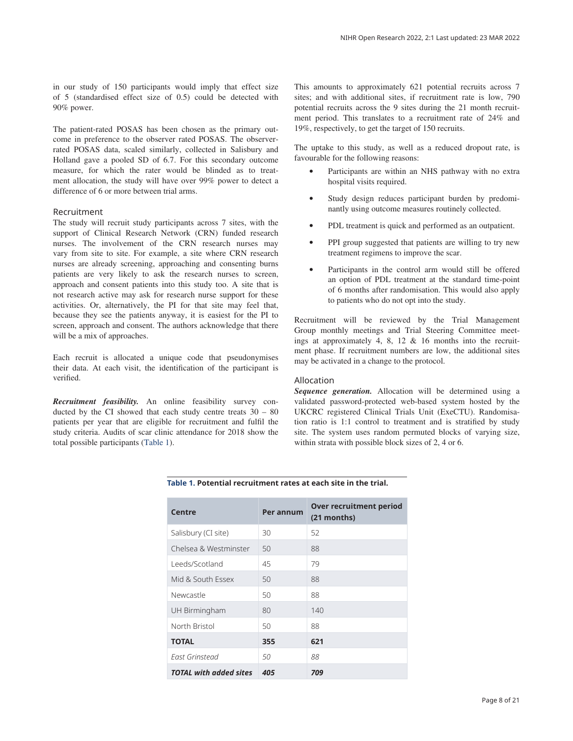in our study of 150 participants would imply that effect size of 5 (standardised effect size of 0.5) could be detected with 90% power.

The patient-rated POSAS has been chosen as the primary outcome in preference to the observer rated POSAS. The observerrated POSAS data, scaled similarly, collected in Salisbury and Holland gave a pooled SD of 6.7. For this secondary outcome measure, for which the rater would be blinded as to treatment allocation, the study will have over 99% power to detect a difference of 6 or more between trial arms.

#### Recruitment

The study will recruit study participants across 7 sites, with the support of Clinical Research Network (CRN) funded research nurses. The involvement of the CRN research nurses may vary from site to site. For example, a site where CRN research nurses are already screening, approaching and consenting burns patients are very likely to ask the research nurses to screen, approach and consent patients into this study too. A site that is not research active may ask for research nurse support for these activities. Or, alternatively, the PI for that site may feel that, because they see the patients anyway, it is easiest for the PI to screen, approach and consent. The authors acknowledge that there will be a mix of approaches.

Each recruit is allocated a unique code that pseudonymises their data. At each visit, the identification of the participant is verified.

*Recruitment feasibility.* An online feasibility survey conducted by the CI showed that each study centre treats 30 – 80 patients per year that are eligible for recruitment and fulfil the study criteria. Audits of scar clinic attendance for 2018 show the total possible participants (Table 1).

This amounts to approximately 621 potential recruits across 7 sites; and with additional sites, if recruitment rate is low, 790 potential recruits across the 9 sites during the 21 month recruitment period. This translates to a recruitment rate of 24% and 19%, respectively, to get the target of 150 recruits.

The uptake to this study, as well as a reduced dropout rate, is favourable for the following reasons:

- Participants are within an NHS pathway with no extra hospital visits required.
- Study design reduces participant burden by predominantly using outcome measures routinely collected.
- PDL treatment is quick and performed as an outpatient.
- PPI group suggested that patients are willing to try new treatment regimens to improve the scar.
- Participants in the control arm would still be offered an option of PDL treatment at the standard time-point of 6 months after randomisation. This would also apply to patients who do not opt into the study.

Recruitment will be reviewed by the Trial Management Group monthly meetings and Trial Steering Committee meetings at approximately 4, 8, 12 & 16 months into the recruitment phase. If recruitment numbers are low, the additional sites may be activated in a change to the protocol.

#### Allocation

*Sequence generation.* Allocation will be determined using a validated password-protected web-based system hosted by the UKCRC registered Clinical Trials Unit (ExeCTU). Randomisation ratio is 1:1 control to treatment and is stratified by study site. The system uses random permuted blocks of varying size, within strata with possible block sizes of 2, 4 or 6.

| Centre                        | Per annum | <b>Over recruitment period</b><br>(21 months) |
|-------------------------------|-----------|-----------------------------------------------|
| Salisbury (CI site)           | 30        | 52                                            |
| Chelsea & Westminster         | 50        | 88                                            |
| Leeds/Scotland                | 45        | 79                                            |
| Mid & South Essex             | 50        | 88                                            |
| Newcastle                     | 50        | 88                                            |
| UH Birmingham                 | 80        | 140                                           |
| North Bristol                 | 50        | 88                                            |
| <b>TOTAL</b>                  | 355       | 621                                           |
| Fast Grinstead                | 50        | 88                                            |
| <b>TOTAL</b> with added sites | 405       | 709                                           |

# **Table 1. Potential recruitment rates at each site in the trial.**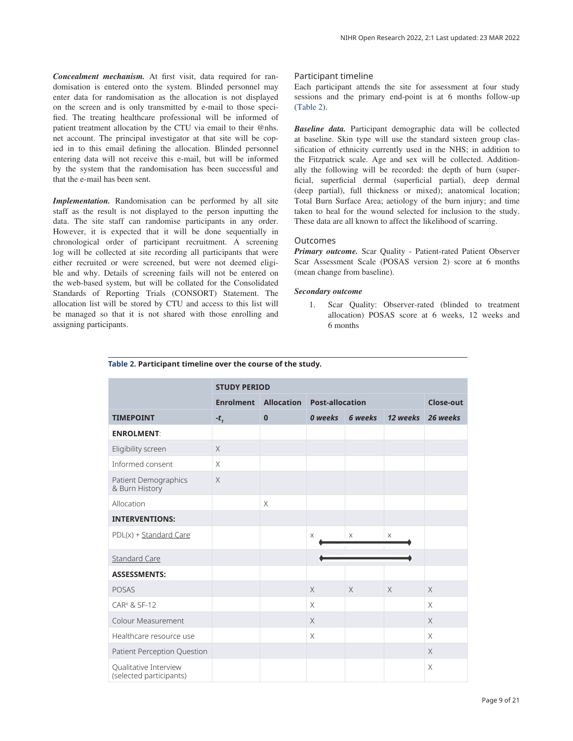<span id="page-8-0"></span>*Concealment mechanism.* At first visit, data required for randomisation is entered onto the system. Blinded personnel may enter data for randomisation as the allocation is not displayed on the screen and is only transmitted by e-mail to those specified. The treating healthcare professional will be informed of patient treatment allocation by the CTU via email to their @nhs. net account. The principal investigator at that site will be copied in to this email defining the allocation. Blinded personnel entering data will not receive this e-mail, but will be informed by the system that the randomisation has been successful and that the e-mail has been sent.

*Implementation.* Randomisation can be performed by all site staff as the result is not displayed to the person inputting the data. The site staff can randomise participants in any order. However, it is expected that it will be done sequentially in chronological order of participant recruitment. A screening log will be collected at site recording all participants that were either recruited or were screened, but were not deemed eligible and why. Details of screening fails will not be entered on the web-based system, but will be collated for the Consolidated Standards of Reporting Trials (CONSORT) Statement. The allocation list will be stored by CTU and access to this list will be managed so that it is not shared with those enrolling and assigning participants.

#### Participant timeline

Each participant attends the site for assessment at four study sessions and the primary end-point is at 6 months follow-up (Table 2).

*Baseline data.* Participant demographic data will be collected at baseline. Skin type will use the standard sixteen group classification of ethnicity currently used in the NHS; in addition to the Fitzpatrick scale. Age and sex will be collected. Additionally the following will be recorded: the depth of burn (superficial, superficial dermal (superficial partial), deep dermal (deep partial), full thickness or mixed); anatomical location; Total Burn Surface Area; aetiology of the burn injury; and time taken to heal for the wound selected for inclusion to the study. These data are all known to affect the likelihood of scarring.

#### Outcomes

*Primary outcome.* Scar Quality - Patient-rated Patient Observer Scar Assessment Scale (POSAS version 2) score at 6 months (mean change from baseline).

#### *Secondary outcome*

1. Scar Quality: Observer-rated (blinded to treatment allocation) POSAS score at 6 weeks, 12 weeks and 6 months

|                                                  | <b>STUDY PERIOD</b> |                   |                        |          |          |           |  |  |
|--------------------------------------------------|---------------------|-------------------|------------------------|----------|----------|-----------|--|--|
|                                                  | <b>Enrolment</b>    | <b>Allocation</b> | <b>Post-allocation</b> |          |          | Close-out |  |  |
| <b>TIMEPOINT</b>                                 | $-t1$               | $\mathbf{0}$      | 0 weeks                | 6 weeks  | 12 weeks | 26 weeks  |  |  |
| <b>ENROLMENT:</b>                                |                     |                   |                        |          |          |           |  |  |
| Eligibility screen                               | $\times$            |                   |                        |          |          |           |  |  |
| Informed consent                                 | $\times$            |                   |                        |          |          |           |  |  |
| Patient Demographics<br>& Burn History           | $\times$            |                   |                        |          |          |           |  |  |
| Allocation                                       |                     | $\times$          |                        |          |          |           |  |  |
| <b>INTERVENTIONS:</b>                            |                     |                   |                        |          |          |           |  |  |
| PDL(x) + Standard Care                           |                     |                   | X                      | X        | $\times$ |           |  |  |
| <b>Standard Care</b>                             |                     |                   |                        |          |          |           |  |  |
| <b>ASSESSMENTS:</b>                              |                     |                   |                        |          |          |           |  |  |
| <b>POSAS</b>                                     |                     |                   | $\times$               | $\times$ | $\times$ | $\times$  |  |  |
| CAR <sup>e</sup> & SF-12                         |                     |                   | $\times$               |          |          | $\times$  |  |  |
| <b>Colour Measurement</b>                        |                     |                   | $\times$               |          |          | $\times$  |  |  |
| Healthcare resource use                          |                     |                   | $\times$               |          |          | X         |  |  |
| Patient Perception Question                      |                     |                   |                        |          |          | $\times$  |  |  |
| Qualitative Interview<br>(selected participants) |                     |                   |                        |          |          | $\times$  |  |  |

#### **Table 2. Participant timeline over the course of the study.**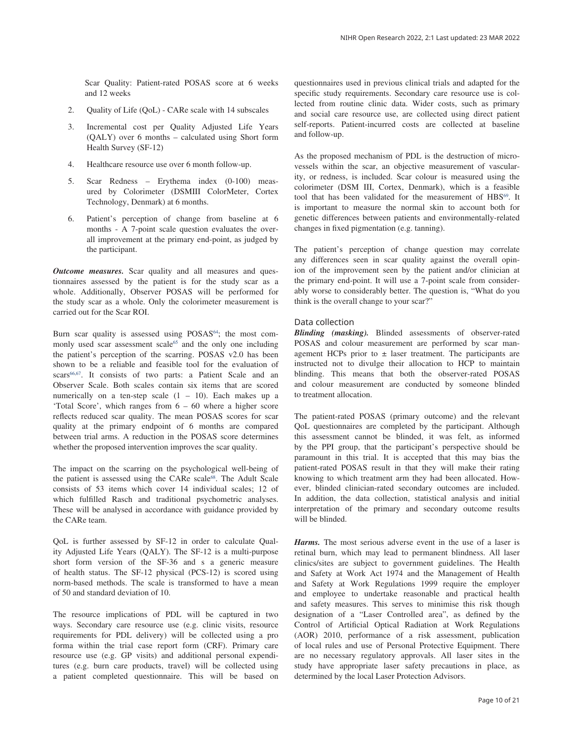Scar Quality: Patient-rated POSAS score at 6 weeks and 12 weeks

- 2. Quality of Life (QoL) CARe scale with 14 subscales
- 3. Incremental cost per Quality Adjusted Life Years (QALY) over 6 months – calculated using Short form Health Survey (SF-12)
- 4. Healthcare resource use over 6 month follow-up.
- 5. Scar Redness Erythema index (0-100) measured by Colorimeter (DSMIII ColorMeter, Cortex Technology, Denmark) at 6 months.
- 6. Patient's perception of change from baseline at 6 months - A 7-point scale question evaluates the overall improvement at the primary end-point, as judged by the participant.

*Outcome measures.* Scar quality and all measures and questionnaires assessed by the patient is for the study scar as a whole. Additionally, Observer POSAS will be performed for the study scar as a whole. Only the colorimeter measurement is carried out for the Scar ROI.

Burn scar quality is assessed using POSAS<sup>[64](#page-17-0)</sup>; the most com-monly used scar assessment scale<sup>[65](#page-17-0)</sup> and the only one including the patient's perception of the scarring. POSAS v2.0 has been shown to be a reliable and feasible tool for the evaluation of scars<sup>[66,67](#page-17-0)</sup>. It consists of two parts: a Patient Scale and an Observer Scale. Both scales contain six items that are scored numerically on a ten-step scale  $(1 - 10)$ . Each makes up a 'Total Score', which ranges from 6 – 60 where a higher score reflects reduced scar quality. The mean POSAS scores for scar quality at the primary endpoint of 6 months are compared between trial arms. A reduction in the POSAS score determines whether the proposed intervention improves the scar quality.

The impact on the scarring on the psychological well-being of the patient is assessed using the CARe scale<sup>68</sup>. The Adult Scale consists of 53 items which cover 14 individual scales; 12 of which fulfilled Rasch and traditional psychometric analyses. These will be analysed in accordance with guidance provided by the CARe team.

QoL is further assessed by SF-12 in order to calculate Quality Adjusted Life Years (QALY). The SF-12 is a multi-purpose short form version of the SF-36 and s a generic measure of health status. The SF-12 physical (PCS-12) is scored using norm-based methods. The scale is transformed to have a mean of 50 and standard deviation of 10.

The resource implications of PDL will be captured in two ways. Secondary care resource use (e.g. clinic visits, resource requirements for PDL delivery) will be collected using a pro forma within the trial case report form (CRF). Primary care resource use (e.g. GP visits) and additional personal expenditures (e.g. burn care products, travel) will be collected using a patient completed questionnaire. This will be based on

questionnaires used in previous clinical trials and adapted for the specific study requirements. Secondary care resource use is collected from routine clinic data. Wider costs, such as primary and social care resource use, are collected using direct patient self-reports. Patient-incurred costs are collected at baseline and follow-up.

As the proposed mechanism of PDL is the destruction of microvessels within the scar, an objective measurement of vascularity, or redness, is included. Scar colour is measured using the colorimeter (DSM III, Cortex, Denmark), which is a feasible tool that has been validated for the measurement of HBS<sup>69</sup>. It is important to measure the normal skin to account both for genetic differences between patients and environmentally-related changes in fixed pigmentation (e.g. tanning).

The patient's perception of change question may correlate any differences seen in scar quality against the overall opinion of the improvement seen by the patient and/or clinician at the primary end-point. It will use a 7-point scale from considerably worse to considerably better. The question is, "What do you think is the overall change to your scar?"

#### Data collection

*Blinding (masking).* Blinded assessments of observer-rated POSAS and colour measurement are performed by scar management HCPs prior to  $\pm$  laser treatment. The participants are instructed not to divulge their allocation to HCP to maintain blinding. This means that both the observer-rated POSAS and colour measurement are conducted by someone blinded to treatment allocation.

The patient-rated POSAS (primary outcome) and the relevant QoL questionnaires are completed by the participant. Although this assessment cannot be blinded, it was felt, as informed by the PPI group, that the participant's perspective should be paramount in this trial. It is accepted that this may bias the patient-rated POSAS result in that they will make their rating knowing to which treatment arm they had been allocated. However, blinded clinician-rated secondary outcomes are included. In addition, the data collection, statistical analysis and initial interpretation of the primary and secondary outcome results will be blinded.

*Harms.* The most serious adverse event in the use of a laser is retinal burn, which may lead to permanent blindness. All laser clinics/sites are subject to government guidelines. The Health and Safety at Work Act 1974 and the Management of Health and Safety at Work Regulations 1999 require the employer and employee to undertake reasonable and practical health and safety measures. This serves to minimise this risk though designation of a "Laser Controlled area", as defined by the Control of Artificial Optical Radiation at Work Regulations (AOR) 2010, performance of a risk assessment, publication of local rules and use of Personal Protective Equipment. There are no necessary regulatory approvals. All laser sites in the study have appropriate laser safety precautions in place, as determined by the local Laser Protection Advisors.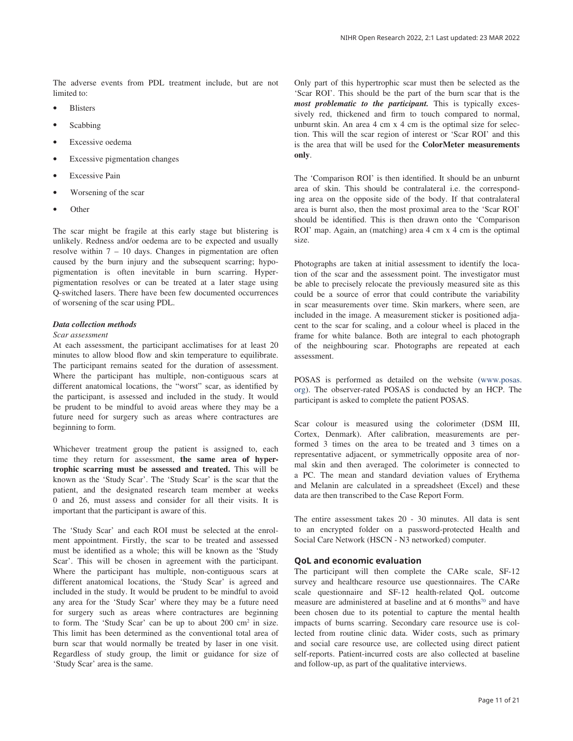The adverse events from PDL treatment include, but are not limited to:

- **Blisters**
- Scabbing
- Excessive oedema
- **Excessive pigmentation changes**
- **Excessive Pain**
- Worsening of the scar
- Other

The scar might be fragile at this early stage but blistering is unlikely. Redness and/or oedema are to be expected and usually resolve within  $7 - 10$  days. Changes in pigmentation are often caused by the burn injury and the subsequent scarring; hypopigmentation is often inevitable in burn scarring. Hyperpigmentation resolves or can be treated at a later stage using Q-switched lasers. There have been few documented occurrences of worsening of the scar using PDL.

#### *Data collection methods*

#### *Scar assessment*

At each assessment, the participant acclimatises for at least 20 minutes to allow blood flow and skin temperature to equilibrate. The participant remains seated for the duration of assessment. Where the participant has multiple, non-contiguous scars at different anatomical locations, the "worst" scar, as identified by the participant, is assessed and included in the study. It would be prudent to be mindful to avoid areas where they may be a future need for surgery such as areas where contractures are beginning to form.

Whichever treatment group the patient is assigned to, each time they return for assessment, **the same area of hypertrophic scarring must be assessed and treated.** This will be known as the 'Study Scar'. The 'Study Scar' is the scar that the patient, and the designated research team member at weeks 0 and 26, must assess and consider for all their visits. It is important that the participant is aware of this.

The 'Study Scar' and each ROI must be selected at the enrolment appointment. Firstly, the scar to be treated and assessed must be identified as a whole; this will be known as the 'Study Scar'. This will be chosen in agreement with the participant. Where the participant has multiple, non-contiguous scars at different anatomical locations, the 'Study Scar' is agreed and included in the study. It would be prudent to be mindful to avoid any area for the 'Study Scar' where they may be a future need for surgery such as areas where contractures are beginning to form. The 'Study Scar' can be up to about 200 cm<sup>2</sup> in size. This limit has been determined as the conventional total area of burn scar that would normally be treated by laser in one visit. Regardless of study group, the limit or guidance for size of 'Study Scar' area is the same.

Only part of this hypertrophic scar must then be selected as the 'Scar ROI'. This should be the part of the burn scar that is the *most problematic to the participant.* This is typically excessively red, thickened and firm to touch compared to normal, unburnt skin. An area 4 cm x 4 cm is the optimal size for selection. This will the scar region of interest or 'Scar ROI' and this is the area that will be used for the **ColorMeter measurements only**.

The 'Comparison ROI' is then identified. It should be an unburnt area of skin. This should be contralateral i.e. the corresponding area on the opposite side of the body. If that contralateral area is burnt also, then the most proximal area to the 'Scar ROI' should be identified. This is then drawn onto the 'Comparison ROI' map. Again, an (matching) area 4 cm x 4 cm is the optimal size.

Photographs are taken at initial assessment to identify the location of the scar and the assessment point. The investigator must be able to precisely relocate the previously measured site as this could be a source of error that could contribute the variability in scar measurements over time. Skin markers, where seen, are included in the image. A measurement sticker is positioned adjacent to the scar for scaling, and a colour wheel is placed in the frame for white balance. Both are integral to each photograph of the neighbouring scar. Photographs are repeated at each assessment.

POSAS is performed as detailed on the website [\(www.posas.](https://www.posas.nl/) [org\)](https://www.posas.nl/). The observer-rated POSAS is conducted by an HCP. The participant is asked to complete the patient POSAS.

Scar colour is measured using the colorimeter (DSM III, Cortex, Denmark). After calibration, measurements are performed 3 times on the area to be treated and 3 times on a representative adjacent, or symmetrically opposite area of normal skin and then averaged. The colorimeter is connected to a PC. The mean and standard deviation values of Erythema and Melanin are calculated in a spreadsheet (Excel) and these data are then transcribed to the Case Report Form.

The entire assessment takes 20 - 30 minutes. All data is sent to an encrypted folder on a password-protected Health and Social Care Network (HSCN - N3 networked) computer.

#### **QoL and economic evaluation**

The participant will then complete the CARe scale, SF-12 survey and healthcare resource use questionnaires. The CARe scale questionnaire and SF-12 health-related QoL outcome measure are administered at baseline and at 6 months $70$  and have been chosen due to its potential to capture the mental health impacts of burns scarring. Secondary care resource use is collected from routine clinic data. Wider costs, such as primary and social care resource use, are collected using direct patient self-reports. Patient-incurred costs are also collected at baseline and follow-up, as part of the qualitative interviews.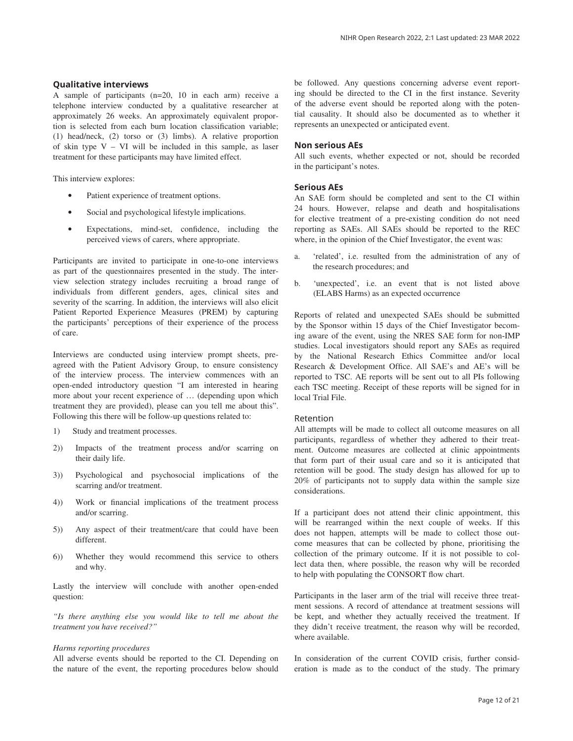#### **Qualitative interviews**

A sample of participants (n=20, 10 in each arm) receive a telephone interview conducted by a qualitative researcher at approximately 26 weeks. An approximately equivalent proportion is selected from each burn location classification variable; (1) head/neck, (2) torso or (3) limbs). A relative proportion of skin type  $V - VI$  will be included in this sample, as laser treatment for these participants may have limited effect.

This interview explores:

- Patient experience of treatment options.
- Social and psychological lifestyle implications.
- Expectations, mind-set, confidence, including the perceived views of carers, where appropriate.

Participants are invited to participate in one-to-one interviews as part of the questionnaires presented in the study. The interview selection strategy includes recruiting a broad range of individuals from different genders, ages, clinical sites and severity of the scarring. In addition, the interviews will also elicit Patient Reported Experience Measures (PREM) by capturing the participants' perceptions of their experience of the process of care.

Interviews are conducted using interview prompt sheets, preagreed with the Patient Advisory Group, to ensure consistency of the interview process. The interview commences with an open-ended introductory question "I am interested in hearing more about your recent experience of … (depending upon which treatment they are provided), please can you tell me about this". Following this there will be follow-up questions related to:

- 1) Study and treatment processes.
- 2)) Impacts of the treatment process and/or scarring on their daily life.
- 3)) Psychological and psychosocial implications of the scarring and/or treatment.
- 4)) Work or financial implications of the treatment process and/or scarring.
- 5)) Any aspect of their treatment/care that could have been different.
- 6)) Whether they would recommend this service to others and why.

Lastly the interview will conclude with another open-ended question:

*"Is there anything else you would like to tell me about the treatment you have received?"*

#### *Harms reporting procedures*

All adverse events should be reported to the CI. Depending on the nature of the event, the reporting procedures below should

be followed. Any questions concerning adverse event reporting should be directed to the CI in the first instance. Severity of the adverse event should be reported along with the potential causality. It should also be documented as to whether it represents an unexpected or anticipated event.

#### **Non serious AEs**

All such events, whether expected or not, should be recorded in the participant's notes.

#### **Serious AEs**

An SAE form should be completed and sent to the CI within 24 hours. However, relapse and death and hospitalisations for elective treatment of a pre‐existing condition do not need reporting as SAEs. All SAEs should be reported to the REC where, in the opinion of the Chief Investigator, the event was:

- a. 'related', i.e. resulted from the administration of any of the research procedures; and
- b. 'unexpected', i.e. an event that is not listed above (ELABS Harms) as an expected occurrence

Reports of related and unexpected SAEs should be submitted by the Sponsor within 15 days of the Chief Investigator becoming aware of the event, using the NRES SAE form for non‐IMP studies. Local investigators should report any SAEs as required by the National Research Ethics Committee and/or local Research & Development Office. All SAE's and AE's will be reported to TSC. AE reports will be sent out to all PIs following each TSC meeting. Receipt of these reports will be signed for in local Trial File.

#### Retention

All attempts will be made to collect all outcome measures on all participants, regardless of whether they adhered to their treatment. Outcome measures are collected at clinic appointments that form part of their usual care and so it is anticipated that retention will be good. The study design has allowed for up to 20% of participants not to supply data within the sample size considerations.

If a participant does not attend their clinic appointment, this will be rearranged within the next couple of weeks. If this does not happen, attempts will be made to collect those outcome measures that can be collected by phone, prioritising the collection of the primary outcome. If it is not possible to collect data then, where possible, the reason why will be recorded to help with populating the CONSORT flow chart.

Participants in the laser arm of the trial will receive three treatment sessions. A record of attendance at treatment sessions will be kept, and whether they actually received the treatment. If they didn't receive treatment, the reason why will be recorded, where available.

In consideration of the current COVID crisis, further consideration is made as to the conduct of the study. The primary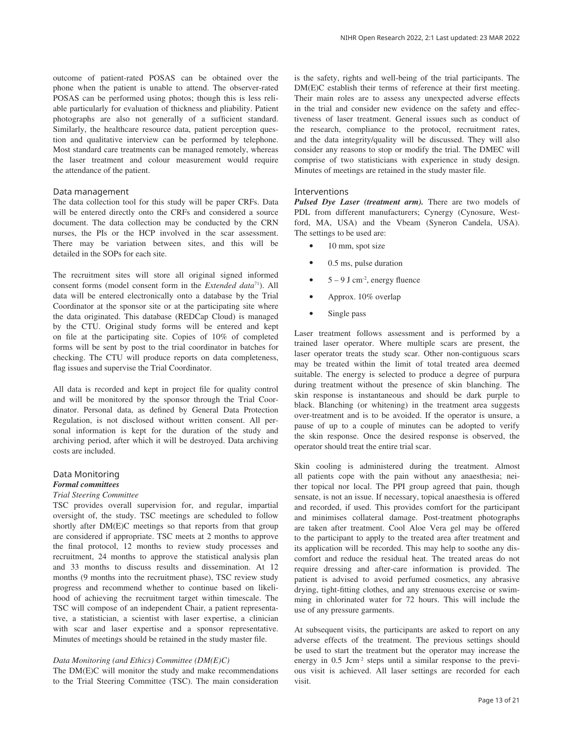outcome of patient-rated POSAS can be obtained over the phone when the patient is unable to attend. The observer-rated POSAS can be performed using photos; though this is less reliable particularly for evaluation of thickness and pliability. Patient photographs are also not generally of a sufficient standard. Similarly, the healthcare resource data, patient perception question and qualitative interview can be performed by telephone. Most standard care treatments can be managed remotely, whereas the laser treatment and colour measurement would require the attendance of the patient.

#### Data management

The data collection tool for this study will be paper CRFs. Data will be entered directly onto the CRFs and considered a source document. The data collection may be conducted by the CRN nurses, the PIs or the HCP involved in the scar assessment. There may be variation between sites, and this will be detailed in the SOPs for each site.

The recruitment sites will store all original signed informed consent forms (model consent form in the *Extended data*[71](#page-17-0)). All data will be entered electronically onto a database by the Trial Coordinator at the sponsor site or at the participating site where the data originated. This database (REDCap Cloud) is managed by the CTU. Original study forms will be entered and kept on file at the participating site. Copies of 10% of completed forms will be sent by post to the trial coordinator in batches for checking. The CTU will produce reports on data completeness, flag issues and supervise the Trial Coordinator.

All data is recorded and kept in project file for quality control and will be monitored by the sponsor through the Trial Coordinator. Personal data, as defined by General Data Protection Regulation, is not disclosed without written consent. All personal information is kept for the duration of the study and archiving period, after which it will be destroyed. Data archiving costs are included.

# Data Monitoring *Formal committees*

# *Trial Steering Committee*

TSC provides overall supervision for, and regular, impartial oversight of, the study. TSC meetings are scheduled to follow shortly after DM(E)C meetings so that reports from that group are considered if appropriate. TSC meets at 2 months to approve the final protocol, 12 months to review study processes and recruitment, 24 months to approve the statistical analysis plan and 33 months to discuss results and dissemination. At 12 months (9 months into the recruitment phase), TSC review study progress and recommend whether to continue based on likelihood of achieving the recruitment target within timescale. The TSC will compose of an independent Chair, a patient representative, a statistician, a scientist with laser expertise, a clinician with scar and laser expertise and a sponsor representative. Minutes of meetings should be retained in the study master file.

#### *Data Monitoring (and Ethics) Committee (DM(E)C)*

The DM(E)C will monitor the study and make recommendations to the Trial Steering Committee (TSC). The main consideration is the safety, rights and well-being of the trial participants. The DM(E)C establish their terms of reference at their first meeting. Their main roles are to assess any unexpected adverse effects in the trial and consider new evidence on the safety and effectiveness of laser treatment. General issues such as conduct of the research, compliance to the protocol, recruitment rates, and the data integrity/quality will be discussed. They will also consider any reasons to stop or modify the trial. The DMEC will comprise of two statisticians with experience in study design. Minutes of meetings are retained in the study master file.

#### Interventions

*Pulsed Dye Laser (treatment arm).* There are two models of PDL from different manufacturers; Cynergy (Cynosure, Westford, MA, USA) and the Vbeam (Syneron Candela, USA). The settings to be used are:

- 10 mm, spot size
- 0.5 ms, pulse duration
- $5 9$  J cm<sup>-2</sup>, energy fluence
- Approx. 10% overlap
- Single pass

Laser treatment follows assessment and is performed by a trained laser operator. Where multiple scars are present, the laser operator treats the study scar. Other non-contiguous scars may be treated within the limit of total treated area deemed suitable. The energy is selected to produce a degree of purpura during treatment without the presence of skin blanching. The skin response is instantaneous and should be dark purple to black. Blanching (or whitening) in the treatment area suggests over-treatment and is to be avoided. If the operator is unsure, a pause of up to a couple of minutes can be adopted to verify the skin response. Once the desired response is observed, the operator should treat the entire trial scar.

Skin cooling is administered during the treatment. Almost all patients cope with the pain without any anaesthesia; neither topical nor local. The PPI group agreed that pain, though sensate, is not an issue. If necessary, topical anaesthesia is offered and recorded, if used. This provides comfort for the participant and minimises collateral damage. Post-treatment photographs are taken after treatment. Cool Aloe Vera gel may be offered to the participant to apply to the treated area after treatment and its application will be recorded. This may help to soothe any discomfort and reduce the residual heat. The treated areas do not require dressing and after-care information is provided. The patient is advised to avoid perfumed cosmetics, any abrasive drying, tight-fitting clothes, and any strenuous exercise or swimming in chlorinated water for 72 hours. This will include the use of any pressure garments.

At subsequent visits, the participants are asked to report on any adverse effects of the treatment. The previous settings should be used to start the treatment but the operator may increase the energy in 0.5 Jcm<sup>-2</sup> steps until a similar response to the previous visit is achieved. All laser settings are recorded for each visit.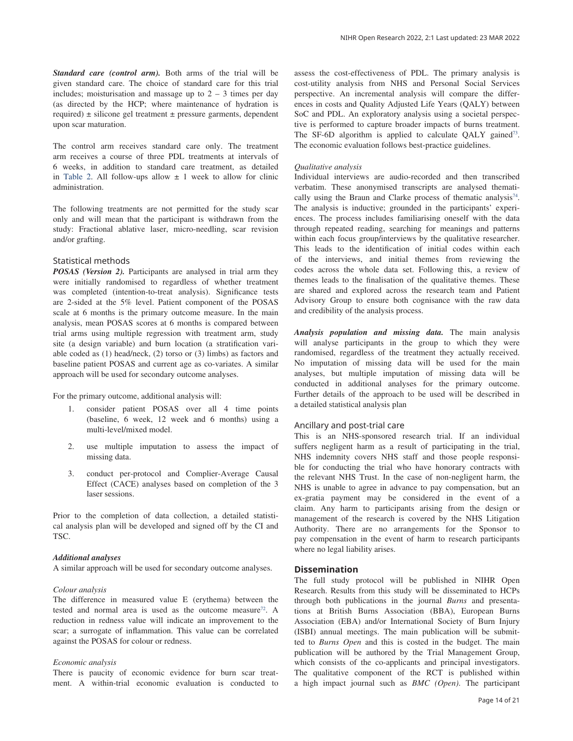*Standard care (control arm).* Both arms of the trial will be given standard care. The choice of standard care for this trial includes; moisturisation and massage up to  $2 - 3$  times per day (as directed by the HCP; where maintenance of hydration is required)  $\pm$  silicone gel treatment  $\pm$  pressure garments, dependent upon scar maturation.

The control arm receives standard care only. The treatment arm receives a course of three PDL treatments at intervals of 6 weeks, in addition to standard care treatment, as detailed in [Table 2](#page-8-0). All follow-ups allow  $\pm$  1 week to allow for clinic administration.

The following treatments are not permitted for the study scar only and will mean that the participant is withdrawn from the study: Fractional ablative laser, micro-needling, scar revision and/or grafting.

#### Statistical methods

*POSAS (Version 2).* Participants are analysed in trial arm they were initially randomised to regardless of whether treatment was completed (intention-to-treat analysis). Significance tests are 2-sided at the 5% level. Patient component of the POSAS scale at 6 months is the primary outcome measure. In the main analysis, mean POSAS scores at 6 months is compared between trial arms using multiple regression with treatment arm, study site (a design variable) and burn location (a stratification variable coded as (1) head/neck, (2) torso or (3) limbs) as factors and baseline patient POSAS and current age as co-variates. A similar approach will be used for secondary outcome analyses.

For the primary outcome, additional analysis will:

- 1. consider patient POSAS over all 4 time points (baseline, 6 week, 12 week and 6 months) using a multi-level/mixed model.
- 2. use multiple imputation to assess the impact of missing data.
- 3. conduct per-protocol and Complier-Average Causal Effect (CACE) analyses based on completion of the 3 laser sessions.

Prior to the completion of data collection, a detailed statistical analysis plan will be developed and signed off by the CI and TSC.

#### *Additional analyses*

A similar approach will be used for secondary outcome analyses.

#### *Colour analysis*

The difference in measured value E (erythema) between the tested and normal area is used as the outcome measure<sup>72</sup>. A reduction in redness value will indicate an improvement to the scar; a surrogate of inflammation. This value can be correlated against the POSAS for colour or redness.

#### *Economic analysis*

There is paucity of economic evidence for burn scar treatment. A within-trial economic evaluation is conducted to assess the cost-effectiveness of PDL. The primary analysis is cost-utility analysis from NHS and Personal Social Services perspective. An incremental analysis will compare the differences in costs and Quality Adjusted Life Years (QALY) between SoC and PDL. An exploratory analysis using a societal perspective is performed to capture broader impacts of burns treatment. The SF-6D algorithm is applied to calculate QALY gained<sup>73</sup>. The economic evaluation follows best-practice guidelines.

#### *Qualitative analysis*

Individual interviews are audio-recorded and then transcribed verbatim. These anonymised transcripts are analysed thematically using the Braun and Clarke process of thematic analysis<sup>74</sup>. The analysis is inductive; grounded in the participants' experiences. The process includes familiarising oneself with the data through repeated reading, searching for meanings and patterns within each focus group/interviews by the qualitative researcher. This leads to the identification of initial codes within each of the interviews, and initial themes from reviewing the codes across the whole data set. Following this, a review of themes leads to the finalisation of the qualitative themes. These are shared and explored across the research team and Patient Advisory Group to ensure both cognisance with the raw data and credibility of the analysis process.

*Analysis population and missing data.* The main analysis will analyse participants in the group to which they were randomised, regardless of the treatment they actually received. No imputation of missing data will be used for the main analyses, but multiple imputation of missing data will be conducted in additional analyses for the primary outcome. Further details of the approach to be used will be described in a detailed statistical analysis plan

#### Ancillary and post-trial care

This is an NHS-sponsored research trial. If an individual suffers negligent harm as a result of participating in the trial, NHS indemnity covers NHS staff and those people responsible for conducting the trial who have honorary contracts with the relevant NHS Trust. In the case of non-negligent harm, the NHS is unable to agree in advance to pay compensation, but an ex-gratia payment may be considered in the event of a claim. Any harm to participants arising from the design or management of the research is covered by the NHS Litigation Authority. There are no arrangements for the Sponsor to pay compensation in the event of harm to research participants where no legal liability arises.

#### **Dissemination**

The full study protocol will be published in NIHR Open Research. Results from this study will be disseminated to HCPs through both publications in the journal *Burns* and presentations at British Burns Association (BBA), European Burns Association (EBA) and/or International Society of Burn Injury (ISBI) annual meetings. The main publication will be submitted to *Burns Open* and this is costed in the budget. The main publication will be authored by the Trial Management Group, which consists of the co-applicants and principal investigators. The qualitative component of the RCT is published within a high impact journal such as *BMC (Open)*. The participant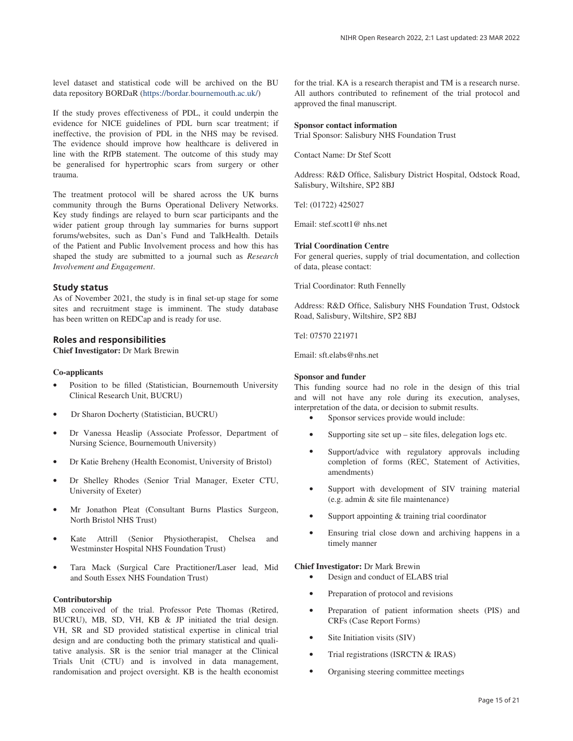level dataset and statistical code will be archived on the BU data repository BORDaR ([https://bordar.bournemouth.ac.uk/\)](https://bordar.bournemouth.ac.uk/)

If the study proves effectiveness of PDL, it could underpin the evidence for NICE guidelines of PDL burn scar treatment; if ineffective, the provision of PDL in the NHS may be revised. The evidence should improve how healthcare is delivered in line with the RfPB statement. The outcome of this study may be generalised for hypertrophic scars from surgery or other trauma.

The treatment protocol will be shared across the UK burns community through the Burns Operational Delivery Networks. Key study findings are relayed to burn scar participants and the wider patient group through lay summaries for burns support forums/websites, such as Dan's Fund and TalkHealth. Details of the Patient and Public Involvement process and how this has shaped the study are submitted to a journal such as *Research Involvement and Engagement*.

## **Study status**

As of November 2021, the study is in final set-up stage for some sites and recruitment stage is imminent. The study database has been written on REDCap and is ready for use.

#### **Roles and responsibilities**

**Chief Investigator:** Dr Mark Brewin

#### **Co-applicants**

- Position to be filled (Statistician, Bournemouth University Clinical Research Unit, BUCRU)
- Dr Sharon Docherty (Statistician, BUCRU)
- Dr Vanessa Heaslip (Associate Professor, Department of Nursing Science, Bournemouth University)
- Dr Katie Breheny (Health Economist, University of Bristol)
- Dr Shelley Rhodes (Senior Trial Manager, Exeter CTU, University of Exeter)
- Mr Jonathon Pleat (Consultant Burns Plastics Surgeon, North Bristol NHS Trust)
- Kate Attrill (Senior Physiotherapist, Chelsea and Westminster Hospital NHS Foundation Trust)
- Tara Mack (Surgical Care Practitioner/Laser lead, Mid and South Essex NHS Foundation Trust)

#### **Contributorship**

MB conceived of the trial. Professor Pete Thomas (Retired, BUCRU), MB, SD, VH, KB & JP initiated the trial design. VH, SR and SD provided statistical expertise in clinical trial design and are conducting both the primary statistical and qualitative analysis. SR is the senior trial manager at the Clinical Trials Unit (CTU) and is involved in data management, randomisation and project oversight. KB is the health economist for the trial. KA is a research therapist and TM is a research nurse. All authors contributed to refinement of the trial protocol and approved the final manuscript.

#### **Sponsor contact information**

Trial Sponsor: Salisbury NHS Foundation Trust

Contact Name: Dr Stef Scott

Address: R&D Office, Salisbury District Hospital, Odstock Road, Salisbury, Wiltshire, SP2 8BJ

Tel: (01722) 425027

Email: stef.scott1@ nhs.net

#### **Trial Coordination Centre**

For general queries, supply of trial documentation, and collection of data, please contact:

Trial Coordinator: Ruth Fennelly

Address: R&D Office, Salisbury NHS Foundation Trust, Odstock Road, Salisbury, Wiltshire, SP2 8BJ

Tel: 07570 221971

Email: sft.elabs@nhs.net

#### **Sponsor and funder**

This funding source had no role in the design of this trial and will not have any role during its execution, analyses, interpretation of the data, or decision to submit results.

- Sponsor services provide would include:
- Supporting site set  $up$  site files, delegation logs etc.
- Support/advice with regulatory approvals including completion of forms (REC, Statement of Activities, amendments)
- Support with development of SIV training material (e.g. admin & site file maintenance)
- Support appointing  $&$  training trial coordinator
- Ensuring trial close down and archiving happens in a timely manner

#### **Chief Investigator:** Dr Mark Brewin

- Design and conduct of ELABS trial
- Preparation of protocol and revisions
- Preparation of patient information sheets (PIS) and CRFs (Case Report Forms)
- Site Initiation visits (SIV)
- Trial registrations (ISRCTN & IRAS)
- Organising steering committee meetings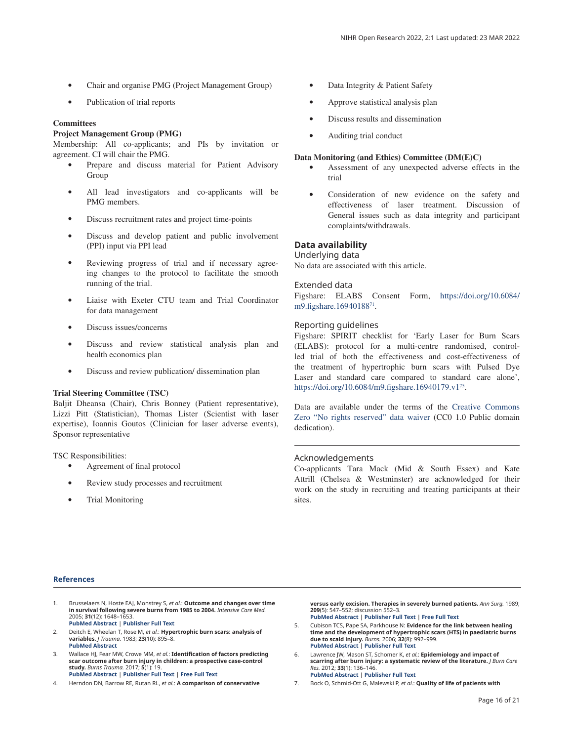- <span id="page-15-0"></span>• Chair and organise PMG (Project Management Group)
- Publication of trial reports

# **Committees**

# **Project Management Group (PMG)**

Membership: All co-applicants; and PIs by invitation or agreement. CI will chair the PMG.

- Prepare and discuss material for Patient Advisory Group
- All lead investigators and co-applicants will be PMG members.
- Discuss recruitment rates and project time-points
- Discuss and develop patient and public involvement (PPI) input via PPI lead
- Reviewing progress of trial and if necessary agreeing changes to the protocol to facilitate the smooth running of the trial.
- Liaise with Exeter CTU team and Trial Coordinator for data management
- Discuss issues/concerns
- Discuss and review statistical analysis plan and health economics plan
- Discuss and review publication/ dissemination plan

## **Trial Steering Committee (TSC)**

Baljit Dheansa (Chair), Chris Bonney (Patient representative), Lizzi Pitt (Statistician), Thomas Lister (Scientist with laser expertise), Ioannis Goutos (Clinician for laser adverse events), Sponsor representative

TSC Responsibilities:

- Agreement of final protocol
- Review study processes and recruitment
- Trial Monitoring
- Data Integrity & Patient Safety
- Approve statistical analysis plan
- Discuss results and dissemination
- Auditing trial conduct

#### **Data Monitoring (and Ethics) Committee (DM(E)C)**

- Assessment of any unexpected adverse effects in the trial
- Consideration of new evidence on the safety and effectiveness of laser treatment. Discussion of General issues such as data integrity and participant complaints/withdrawals.

# **Data availability**

#### Underlying data

No data are associated with this article.

#### Extended data

Figshare: ELABS Consent Form, [https://doi.org/10.6084/](https://doi.org/10.6084/m9.figshare.16940188) [m9.figshare.16940188](https://doi.org/10.6084/m9.figshare.16940188)71.

## Reporting guidelines

Figshare: SPIRIT checklist for 'Early Laser for Burn Scars (ELABS): protocol for a multi-centre randomised, controlled trial of both the effectiveness and cost-effectiveness of the treatment of hypertrophic burn scars with Pulsed Dye Laser and standard care compared to standard care alone', <https://doi.org/10.6084/m9.figshare.16940179.v1>[75.](#page-17-0)

Data are available under the terms of the [Creative Commons](http://creativecommons.org/publicdomain/zero/1.0/)  [Zero "No rights reserved" data waiver](http://creativecommons.org/publicdomain/zero/1.0/) (CC0 1.0 Public domain dedication).

## Acknowledgements

Co-applicants Tara Mack (Mid & South Essex) and Kate Attrill (Chelsea & Westminster) are acknowledged for their work on the study in recruiting and treating participants at their sites.

#### **References**

1. Brusselaers N, Hoste EAJ, Monstrey S, *et al.*: **Outcome and changes over time in survival following severe burns from 1985 to 2004.** *Intensive Care Med.* 2005; **31**(12): 1648–1653.

**[PubMed Abstract](http://www.ncbi.nlm.nih.gov/pubmed/16220315)** | **[Publisher Full Text](http://dx.doi.org/10.1007/s00134-005-2819-6)**

- 2. Deitch E, Wheelan T, Rose M, *et al.*: **Hypertrophic burn scars: analysis of variables.** *J Trauma.* 1983; **23**(10): 895–8. **[PubMed Abstract](http://www.ncbi.nlm.nih.gov/pubmed/6632013)**
- 3. Wallace HJ, Fear MW, Crowe MM, *et al.*: **Identification of factors predicting scar outcome after burn injury in children: a prospective case-control study.** *Burns Trauma.* 2017; **5**(1): 19. **[PubMed Abstract](http://www.ncbi.nlm.nih.gov/pubmed/28680887)** | **[Publisher Full Text](http://dx.doi.org/10.1186/s41038-017-0084-x)** | **[Free Full Text](http://www.ncbi.nlm.nih.gov/pmc/articles/5494810)**

4. Herndon DN, Barrow RE, Rutan RL, *et al.*: **A comparison of conservative** 

**versus early excision. Therapies in severely burned patients.** *Ann Surg.* 1989; **209**(5): 547–552; discussion 552–3. **[PubMed Abstract](http://www.ncbi.nlm.nih.gov/pubmed/2650643)** | **[Publisher Full Text](http://dx.doi.org/10.1097/00000658-198905000-00006)** | **[Free Full Text](http://www.ncbi.nlm.nih.gov/pmc/articles/1494069)**

- 5. Cubison TCS, Pape SA, Parkhouse N: **Evidence for the link between healing time and the development of hypertrophic scars (HTS) in paediatric burns due to scald injury.** *Burns.* 2006; **32**(8): 992–999. **[PubMed Abstract](http://www.ncbi.nlm.nih.gov/pubmed/16901651)** | **[Publisher Full Text](http://dx.doi.org/10.1016/j.burns.2006.02.007)**
- 6. Lawrence JW, Mason ST, Schomer K, *et al.*: **Epidemiology and impact of scarring after burn injury: a systematic review of the literature.** *J Burn Care Res.* 2012; **33**(1): 136–146. **[PubMed Abstract](http://www.ncbi.nlm.nih.gov/pubmed/22138807)** | **[Publisher Full Text](http://dx.doi.org/10.1097/BCR.0b013e3182374452)**
- 7. Bock O, Schmid-Ott G, Malewski P, *et al.*: **Quality of life of patients with**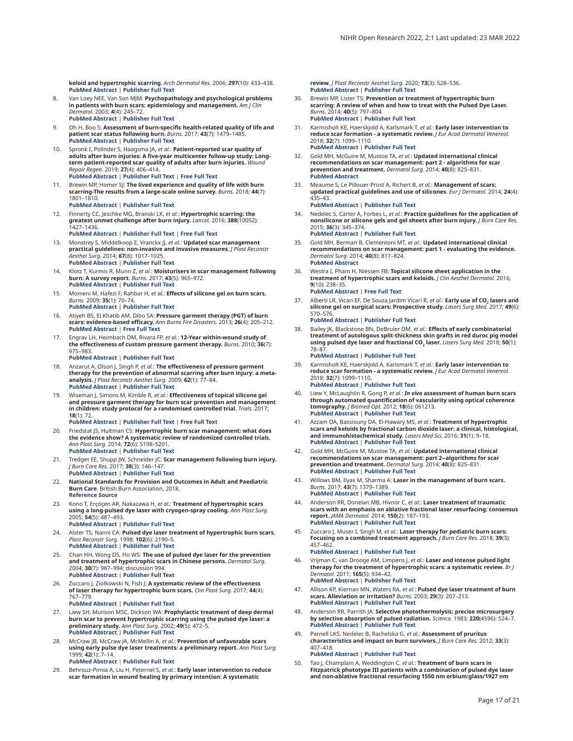<span id="page-16-0"></span>**keloid and hypertrophic scarring.** *Arch Dermatol Res.* 2006; **297**(10): 433–438. **[PubMed Abstract](http://www.ncbi.nlm.nih.gov/pubmed/16528552)** | **[Publisher Full Text](http://dx.doi.org/10.1007/s00403-006-0651-7)**

- 8. Van Loey NEE, Van Son MJM: **Psychopathology and psychological problems in patients with burn scars: epidemiology and management.** *Am J Clin Dermatol.* 2003; **4**(4): 245–72. **[PubMed Abstract](http://www.ncbi.nlm.nih.gov/pubmed/12680803)** | **[Publisher Full Text](http://dx.doi.org/10.2165/00128071-200304040-00004)**
- 9. Oh H, Boo S: **Assessment of burn-specific health-related quality of life and patient scar status following burn.** *Burns.* 2017; **43**(7): 1479–1485. **[PubMed Abstract](http://www.ncbi.nlm.nih.gov/pubmed/28539239)** | **[Publisher Full Text](http://dx.doi.org/10.1016/j.burns.2017.03.023)**
- 10. Spronk I, Polinder S, Haagsma JA, *et al.*: **Patient-reported scar quality of adults after burn injuries: A five-year multicenter follow-up study: Longterm patient-reported scar quality of adults after burn injuries.** *Wound Repair Regen.* 2019; **27**(4): 406–414. **[PubMed Abstract](http://www.ncbi.nlm.nih.gov/pubmed/30793408)** | **[Publisher Full Text](http://dx.doi.org/10.1111/wrr.12709)** | **[Free Full Text](http://www.ncbi.nlm.nih.gov/pmc/articles/6850449)**
- Brewin MP, Homer SJ: **The lived experience and quality of life with burn scarring-The results from a large-scale online survey.** *Burns.* 2018; **44**(7): 1801–1810.
	- **[PubMed Abstract](http://www.ncbi.nlm.nih.gov/pubmed/30072198)** | **[Publisher Full Text](http://dx.doi.org/10.1016/j.burns.2018.04.007)**
- 12. Finnerty CC, Jeschke MG, Branski LK, *et al.*: **Hypertrophic scarring: the greatest unmet challenge after burn injury.** *Lancet.* 2016; **388**(10052): 1427–1436.

**[PubMed Abstract](http://www.ncbi.nlm.nih.gov/pubmed/27707499)** | **[Publisher Full Text](http://dx.doi.org/10.1016/S0140-6736(16)31406-4)** | **[Free Full Text](http://www.ncbi.nlm.nih.gov/pmc/articles/5380137)**

- 13. Monstrey S, Middelkoop E, Vranckx JJ, *et al.*: **Updated scar management practical guidelines: non-invasive and invasive measures.** *J Plast Reconstr Aesthet Surg.* 2014; **67**(8): 1017–1025. **[PubMed Abstract](http://www.ncbi.nlm.nih.gov/pubmed/24888226)** | **[Publisher Full Text](http://dx.doi.org/10.1016/j.bjps.2014.04.011)**
- 14. Klotz T, Kurmis R, Munn Z, *et al.*: **Moisturisers in scar management following burn: A survey report.** *Burns.* 2017; **43**(5): 965–972. **[PubMed Abstract](http://www.ncbi.nlm.nih.gov/pubmed/28413108)** | **[Publisher Full Text](http://dx.doi.org/10.1016/j.burns.2017.01.021)**
- 15. Momeni M, Hafezi F, Rahbar H, *et al.*: **Effects of silicone gel on burn scars.**
	- *Burns.* 2009; **35**(1): 70–74. **[PubMed Abstract](http://www.ncbi.nlm.nih.gov/pubmed/18672332)** | **[Publisher Full Text](http://dx.doi.org/10.1016/j.burns.2008.04.011)**
- 16. Atiyeh BS, El Khatib AM, Dibo SA: **Pressure garment therapy (PGT) of burn scars: evidence-based efficacy.** *Ann Burns Fire Disasters.* 2013; **26**(4): 205–212. **[PubMed Abstract](http://www.ncbi.nlm.nih.gov/pubmed/24799851)** | **[Free Full Text](http://www.ncbi.nlm.nih.gov/pmc/articles/3978593)**
- 17. Engrav LH, Heimbach DM, Rivara FP, *et al.*: **12-Year within-wound study of the effectiveness of custom pressure garment therapy.** *Burns.* 2010; **36**(7): 975–983.
	- **[PubMed Abstract](http://www.ncbi.nlm.nih.gov/pubmed/20537469)** | **[Publisher Full Text](http://dx.doi.org/10.1016/j.burns.2010.04.014)**
- 18. Anzarut A, Olson J, Singh P, *et al.*: **The effectiveness of pressure garment therapy for the prevention of abnormal scarring after burn injury: a metaanalysis.** *J Plast Reconstr Aesthet Surg.* 2009; **62**(1): 77–84. **[PubMed Abstract](http://www.ncbi.nlm.nih.gov/pubmed/18249046)** | **[Publisher Full Text](http://dx.doi.org/10.1016/j.bjps.2007.10.052)**
- 19. Wiseman J, Simons M, Kimble R, *et al.*: **Effectiveness of topical silicone gel and pressure garment therapy for burn scar prevention and management in children: study protocol for a randomised controlled trial.** *Trials.* 2017; **18**(1): 72.

**[PubMed Abstract](http://www.ncbi.nlm.nih.gov/pubmed/28209175)** | **[Publisher Full Text](http://dx.doi.org/10.1186/s13063-017-1820-z)** | **[Free Full Text](http://www.ncbi.nlm.nih.gov/pmc/articles/5314463)**

- 20. Friedstat JS, Hultman CS: **Hypertrophic burn scar management: what does the evidence show? A systematic review of randomized controlled trials.** *Ann Plast Surg.* 2014; **72**(6): S198–S201. **[PubMed Abstract](http://www.ncbi.nlm.nih.gov/pubmed/24835874)** | **[Publisher Full Text](http://dx.doi.org/10.1097/SAP.0000000000000103)**
- 21. Tredget EE, Shupp JW, Schneider JC: **Scar management following burn injury.** *J Burn Care Res.* 2017; **38**(3): 146–147. **[PubMed Abstract](http://www.ncbi.nlm.nih.gov/pubmed/28338518)** | **[Publisher Full Text](http://dx.doi.org/10.1097/BCR.0000000000000548)**
- 22. **National Standards for Provision and Outcomes in Adult and Paediatric Burn Care**. British Burn Association, 2018. **[Reference Source](http://www.tara.tcd.ie/handle/2262/86181)**
- 23. Kono T, Erçöçen AR, Nakazawa H, *et al.*: **Treatment of hypertrophic scars using a long-pulsed dye laser with cryogen-spray cooling.** *Ann Plast Surg.* 2005; **54**(5): 487–493. **[PubMed Abstract](http://www.ncbi.nlm.nih.gov/pubmed/15838209)** | **[Publisher Full Text](http://dx.doi.org/10.1097/01.sap.0000155276.93061.93)**
- 24. Alster TS, Nanni CA: **Pulsed dye laser treatment of hypertrophic burn scars.** *Plast Reconstr Surg.* 1998; **102**(6): 2190–5. **[PubMed Abstract](http://www.ncbi.nlm.nih.gov/pubmed/9811021)** | **[Publisher Full Text](http://dx.doi.org/10.1097/00006534-199811000-00060)**
- 25. Chan HH, Wong DS, Ho WS: **The use of pulsed dye laser for the prevention and treatment of hypertrophic scars in Chinese persons.** *Dermatol Surg.* 2004; **30**(7): 987–994; discussion 994. **[PubMed Abstract](http://www.ncbi.nlm.nih.gov/pubmed/15209788)** | **[Publisher Full Text](http://dx.doi.org/10.1111/j.1524-4725.2004.30303.x)**
- 26. Zuccaro J, Ziolkowski N, Fish J: **A systematic review of the effectiveness of laser therapy for hypertrophic burn scars.** *Clin Plast Surg.* 2017; **44**(4): 767–779. **[PubMed Abstract](http://www.ncbi.nlm.nih.gov/pubmed/28888302)** | **[Publisher Full Text](http://dx.doi.org/10.1016/j.cps.2017.05.008)**
- 27. Liew SH, Murison MSC, Dickson WA: **Prophylactic treatment of deep dermal burn scar to prevent hypertrophic scarring using the pulsed dye laser: a preliminary study.** *Ann Plast Surg.* 2002; **49**(5): 472–5. **[PubMed Abstract](http://www.ncbi.nlm.nih.gov/pubmed/12439013)** | **[Publisher Full Text](http://dx.doi.org/10.1097/00000637-200211000-00005)**
- 28. McCraw JB, McCraw JA, McMellin A, *et al.*: **Prevention of unfavorable scars using early pulse dye laser treatments: a preliminary report.** *Ann Plast Surg.* 1999; **42**(1): 7–14. **[PubMed Abstract](http://www.ncbi.nlm.nih.gov/pubmed/9972711)** | **[Publisher Full Text](http://dx.doi.org/10.1097/00000637-199901000-00002)**
- 29. Behrouz-Pirnia A, Liu H, Peternel S, *et al.*: **Early laser intervention to reduce scar formation in wound healing by primary intention: A systematic**

**review.** *J Plast Reconstr Aesthet Surg.* 2020; **73**(3): 528–536. **[PubMed Abstract](http://www.ncbi.nlm.nih.gov/pubmed/31757687)** | **[Publisher Full Text](http://dx.doi.org/10.1016/j.bjps.2019.09.050)**

- 30. Brewin MP, Lister TS: **Prevention or treatment of hypertrophic burn scarring: A review of when and how to treat with the Pulsed Dye Laser.** *Burns.* 2014; **40**(5): 797–804. **[PubMed Abstract](http://www.ncbi.nlm.nih.gov/pubmed/24439925)** | **[Publisher Full Text](http://dx.doi.org/10.1016/j.burns.2013.12.017)**
- 31. Karmisholt KE, Haerskjold A, Karlsmark T, *et al.*: **Early laser intervention to reduce scar formation - a systematic review.** *J Eur Acad Dermatol Venereol.* 2018; **32**(7): 1099–1110. **[PubMed Abstract](http://www.ncbi.nlm.nih.gov/pubmed/29419914)** | **[Publisher Full Text](http://dx.doi.org/10.1111/jdv.14856)**
- 32. Gold MH, McGuire M, Mustoe TA, *et al.*: **Updated international clinical recommendations on scar management: part 2 - algorithms for scar prevention and treatment.** *Dermatol Surg.* 2014; **40**(8): 825–831. **[PubMed Abstract](http://www.ncbi.nlm.nih.gov/pubmed/25068544)**
- 33. Meaume S, Le Pillouer-Prost A, Richert B, *et al.*: **Management of scars: updated practical guidelines and use of silicones.** *Eur J Dermatol.* 2014; **24**(4): 435–43. **[PubMed Abstract](http://www.ncbi.nlm.nih.gov/pubmed/25141160)** | **[Publisher Full Text](http://dx.doi.org/10.1684/ejd.2014.2356)**
- 34. Nedelec S, Carter A, Forbes L, *et al.*: **Practice guidelines for the application of nonsilicone or silicone gels and gel sheets after burn injury.** *J Burn Care Res.* 2015; **36**(3): 345–374.

**[PubMed Abstract](http://www.ncbi.nlm.nih.gov/pubmed/25094007)** | **[Publisher Full Text](http://dx.doi.org/10.1097/BCR.0000000000000124)**

- 35. Gold MH, Berman B, Clementoni MT, *et al.*: **Updated international clinical recommendations on scar management: part 1 - evaluating the evidence.** *Dermatol Surg.* 2014; **40**(8): 817–824.
- **[PubMed Abstract](http://www.ncbi.nlm.nih.gov/pubmed/25068543)** 36. Westra I, Pham H, Niessen FB: **Topical silicone sheet application in the treatment of hypertrophic scars and keloids.** *J Clin Aesthet Dermatol.* 2016; **9**(10): 238–35.

**[PubMed Abstract](http://www.ncbi.nlm.nih.gov/pubmed/27847546)** | **[Free Full Text](http://www.ncbi.nlm.nih.gov/pmc/articles/5104309)**

37. Alberti LR, Vicari EF, De Souza Jardim Vicari R, *et al.*: **Early use of CO2 lasers and silicone gel on surgical scars: Prospective study.** *Lasers Surg Med.* 2017; **49**(6): 570–576.

**[PubMed Abstract](http://www.ncbi.nlm.nih.gov/pubmed/28117496)** | **[Publisher Full Text](http://dx.doi.org/10.1002/lsm.22634)**

38. Bailey JK, Blackstone BN, DeBruler DM, *et al.*: **Effects of early combinatorial treatment of autologous split-thickness skin grafts in red duroc pig model using pulsed dye laser and fractional CO2 laser.** *Lasers Surg Med.* 2018; **50**(1): 78–87.

**[PubMed Abstract](http://www.ncbi.nlm.nih.gov/pubmed/28759110)** | **[Publisher Full Text](http://dx.doi.org/10.1002/lsm.22702)**

- 39. Karmisholt KE, Haerskjold A, Karlsmark T, *et al.*: **Early laser intervention to reduce scar formation a systematic review.** *J Eur Acad Dermatol Venereol.* 2018; **32**(7): 1099–1110. **[PubMed Abstract](http://www.ncbi.nlm.nih.gov/pubmed/29419914)** | **[Publisher Full Text](http://dx.doi.org/10.1111/jdv.14856)**
- 40. Liew Y, McLaughlin R, Gong P, *et al.*: *In vivo* **assessment of human burn scars through automated quantification of vascularity using optical coherence tomography.** *J Biomed Opt.* 2012; **18**(6): 061213. **[PubMed Abstract](http://www.ncbi.nlm.nih.gov/pubmed/23174911)** | **[Publisher Full Text](http://dx.doi.org/10.1117/1.JBO.18.6.061213)**
- 41. Azzam OA, Bassiouny DA, El-Hawary MS, *et al.*: **Treatment of hypertrophic scars and keloids by fractional carbon dioxide laser: a clinical, histological, and immunohistochemical study.** *Lasers Med Sci.* 2016; **31**(1): 9–18. **[PubMed Abstract](http://www.ncbi.nlm.nih.gov/pubmed/26498451)** | **[Publisher Full Text](http://dx.doi.org/10.1007/s10103-015-1824-4)**
- 42. Gold MH, McGuire M, Mustoe TA, *et al.*: **Updated international clinical recommendations on scar management: part 2--algorithms for scar prevention and treatment.** *Dermatol Surg.* 2014; **40**(8): 825–831. **[PubMed Abstract](http://www.ncbi.nlm.nih.gov/pubmed/25068544)** | **[Publisher Full Text](http://dx.doi.org/10.1111/dsu.0000000000000050)**
- 43. Willows BM, Ilyas M, Sharma A: **Laser in the management of burn scars.** *Burns.* 2017; **43**(7): 1379–1389. **[PubMed Abstract](http://www.ncbi.nlm.nih.gov/pubmed/28784339)** | **[Publisher Full Text](http://dx.doi.org/10.1016/j.burns.2017.07.001)**
- 44. Anderson RR, Donelan MB, Hivnor C, *et al.*: **Laser treatment of traumatic scars with an emphasis on ablative fractional laser resurfacing: consensus report.** *JAMA Dermatol.* 2014; **150**(2): 187–193. **[PubMed Abstract](http://www.ncbi.nlm.nih.gov/pubmed/24336931)** | **[Publisher Full Text](http://dx.doi.org/10.1001/jamadermatol.2013.7761)**
- 45. Zuccaro J, Muser I, Singh M, *et al.*: **Laser therapy for pediatric burn scars: Focusing on a combined treatment approach.** *J Burn Care Res.* 2018; **39**(3): 457–462. **[PubMed Abstract](http://www.ncbi.nlm.nih.gov/pubmed/29897540)** | **[Publisher Full Text](http://dx.doi.org/10.1093/jbcr/irx008)**

- 46. Vrijman C, van Drooge AM, Limpens J, *et al.*: **Laser and intense pulsed light therapy for the treatment of hypertrophic scars: a systematic review.** *Br J Dermatol.* 2011; **165**(5): 934–42. **[PubMed Abstract](http://www.ncbi.nlm.nih.gov/pubmed/21711337)** | **[Publisher Full Text](http://dx.doi.org/10.1111/j.1365-2133.2011.10492.x)**
- 47. Allison KP, Kiernan MN, Waters RA, *et al.*: **Pulsed dye laser treatment of burn scars. Alleviation or irritation?** *Burns.* 2003; **29**(3): 207–213. **[PubMed Abstract](http://www.ncbi.nlm.nih.gov/pubmed/12706612)** | **[Publisher Full Text](http://dx.doi.org/10.1016/s0305-4179(02)00280-2)**
- 48. Anderson RR, Parrish JA: **Selective photothermolysis: precise microsurgery by selective absorption of pulsed radiation.** *Science.* 1983; **220**(4596): 524–7. **[PubMed Abstract](http://www.ncbi.nlm.nih.gov/pubmed/6836297)** | **[Publisher Full Text](http://dx.doi.org/10.1126/science.6836297)**
- 49. Parnell LKS, Nedelec B, Rachelska G, *et al.*: **Assessment of pruritus characteristics and impact on burn survivors.** *J Burn Care Res.* 2012; **33**(3): 407–418.

**[PubMed Abstract](http://www.ncbi.nlm.nih.gov/pubmed/22210065)** | **[Publisher Full Text](http://dx.doi.org/10.1097/BCR.0b013e318239d206)**

50. Tao J, Champlain A, Weddington C, *et al.*: **Treatment of burn scars in Fitzpatrick phototype III patients with a combination of pulsed dye laser and non-ablative fractional resurfacing 1550 nm erbium:glass/1927 nm**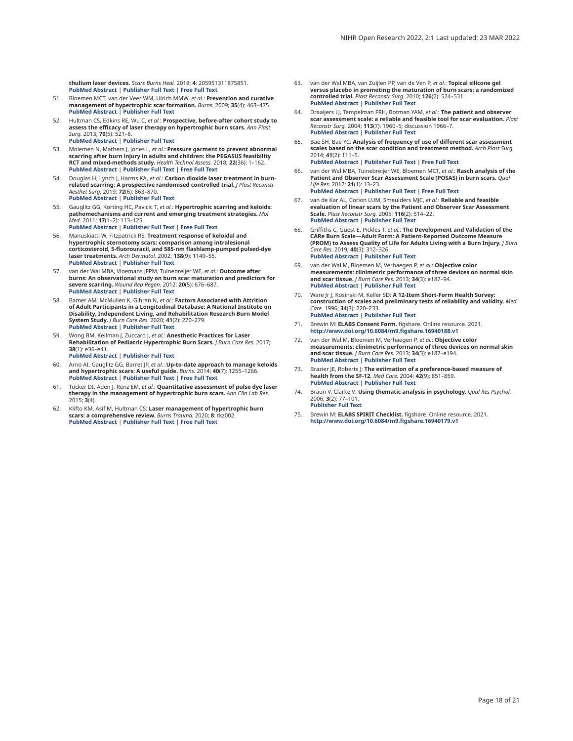<span id="page-17-0"></span>**thulium laser devices.** *Scars Burns Heal.* 2018; **4**: 205951311875851. **[PubMed Abstract](http://www.ncbi.nlm.nih.gov/pubmed/29799583)** | **[Publisher Full Text](http://dx.doi.org/10.1177/2059513118758510)** | **[Free Full Text](http://www.ncbi.nlm.nih.gov/pmc/articles/5965338)**

- 51. Bloemen MCT, van der Veer WM, Ulrich MMW, *et al.*: **Prevention and curative management of hypertrophic scar formation.** *Burns.* 2009; **35**(4): 463–475. **[PubMed Abstract](http://www.ncbi.nlm.nih.gov/pubmed/18951704)** | **[Publisher Full Text](http://dx.doi.org/10.1016/j.burns.2008.07.016)**
- 52. Hultman CS, Edkins RE, Wu C, *et al.*: **Prospective, before-after cohort study to assess the efficacy of laser therapy on hypertrophic burn scars.** *Ann Plast Surg.* 2013; **70**(5): 521–6. **[PubMed Abstract](http://www.ncbi.nlm.nih.gov/pubmed/23542846)** | **[Publisher Full Text](http://dx.doi.org/10.1097/SAP.0b013e31827eac5e)**
- 53. Moiemen N, Mathers J, Jones L, *et al.*: **Pressure garment to prevent abnormal scarring after burn injury in adults and children: the PEGASUS feasibility RCT and mixed-methods study.** *Health Technol Assess.* 2018; **22**(36): 1–162. **[PubMed Abstract](http://www.ncbi.nlm.nih.gov/pubmed/29947328)** | **[Publisher Full Text](http://dx.doi.org/10.3310/hta22360)** | **[Free Full Text](http://www.ncbi.nlm.nih.gov/pmc/articles/6036406)**
- 54. Douglas H, Lynch J, Harms KA, *et al.*: **Carbon dioxide laser treatment in burnrelated scarring: A prospective randomised controlled trial.** *J Plast Reconstr Aesthet Surg.* 2019; **72**(6): 863–870. **[PubMed Abstract](http://www.ncbi.nlm.nih.gov/pubmed/30846294)** | **[Publisher Full Text](http://dx.doi.org/10.1016/j.bjps.2019.01.027)**
- 55. Gauglitz GG, Korting HC, Pavicic T, *et al.*: **Hypertrophic scarring and keloids: pathomechanisms and current and emerging treatment strategies.** *Mol Med.* 2011; **17**(1–2): 113–125. **[PubMed Abstract](http://www.ncbi.nlm.nih.gov/pubmed/20927486)** | **[Publisher Full Text](http://dx.doi.org/10.2119/molmed.2009.00153)** | **[Free Full Text](http://www.ncbi.nlm.nih.gov/pmc/articles/3022978)**
- 56. Manuskiatti W, Fitzpatrick RE: **Treatment response of keloidal and hypertrophic sternotomy scars: comparison among intralesional corticosteroid, 5-fluorouracil, and 585-nm flashlamp-pumped pulsed-dye laser treatments.** *Arch Dermatol.* 2002; **138**(9): 1149–55. **[PubMed Abstract](http://www.ncbi.nlm.nih.gov/pubmed/12224975)** | **[Publisher Full Text](http://dx.doi.org/10.1001/archderm.138.9.1149)**
- 57. van der Wal MBA, Vloemans JFPM, Tuinebreijer WE, *et al.*: **Outcome after burns: An observational study on burn scar maturation and predictors for severe scarring.** *Wound Rep Regen.* 2012; **20**(5): 676–687. **[PubMed Abstract](http://www.ncbi.nlm.nih.gov/pubmed/22985039)** | **[Publisher Full Text](http://dx.doi.org/10.1111/j.1524-475X.2012.00820.x)**
- 58. Bamer AM, McMullen K, Gibran N, *et al.*: **Factors Associated with Attrition of Adult Participants in a Longitudinal Database: A National Institute on Disability, Independent Living, and Rehabilitation Research Burn Model System Study.** *J Burn Care Res.* 2020; **41**(2): 270–279. **[PubMed Abstract](http://www.ncbi.nlm.nih.gov/pubmed/31738436)** | **[Publisher Full Text](http://dx.doi.org/10.1093/jbcr/irz186)**
- 59. Wong BM, Keilman J, Zuccaro J, *et al.*: **Anesthetic Practices for Laser Rehabilitation of Pediatric Hypertrophic Burn Scars.** *J Burn Care Res.* 2017; **38**(1): e36–e41.
	- **[PubMed Abstract](http://www.ncbi.nlm.nih.gov/pubmed/27532615)** | **[Publisher Full Text](http://dx.doi.org/10.1097/BCR.0000000000000427)**
- 60. Arno AI, Gauglitz GG, Barret JP, *et al.*: **Up-to-date approach to manage keloids and hypertrophic scars: A useful guide.** *Burns.* 2014; **40**(7): 1255–1266. **[PubMed Abstract](http://www.ncbi.nlm.nih.gov/pubmed/24767715)** | **[Publisher Full Text](http://dx.doi.org/10.1016/j.burns.2014.02.011)** | **[Free Full Text](http://www.ncbi.nlm.nih.gov/pmc/articles/4186912)**
- 61. Tucker DI, Aden J, Renz EM, *et al.*: **Quantitative assessment of pulse dye laser therapy in the management of hypertrophic burn scars.** *Ann Clin Lab Res.* 2015; **3**(4).
- 62. Klifto KM, Asif M, Hultman CS: **Laser management of hypertrophic burn scars: a comprehensive review.** *Burns Trauma.* 2020; **8**: tkz002. **[PubMed Abstract](http://www.ncbi.nlm.nih.gov/pubmed/32346540)** | **[Publisher Full Text](http://dx.doi.org/10.1093/burnst/tkz002)** | **[Free Full Text](http://www.ncbi.nlm.nih.gov/pmc/articles/7175764)**
- 63. van der Wal MBA, van Zuijlen PP, van de Ven P, *et al.*: **Topical silicone gel versus placebo in promoting the maturation of burn scars: a randomized controlled trial.** *Plast Reconstr Surg.* 2010; **126**(2): 524–531. **[PubMed Abstract](http://www.ncbi.nlm.nih.gov/pubmed/20679835)** | **[Publisher Full Text](http://dx.doi.org/10.1097/PRS.0b013e3181e09559)**
- 64. Draaijers LJ, Tempelman FRH, Botman YAM, *et al.*: **The patient and observer scar assessment scale: a reliable and feasible tool for scar evaluation.** *Plast Reconstr Surg.* 2004; **113**(7): 1960–5; discussion 1966–7. **[PubMed Abstract](http://www.ncbi.nlm.nih.gov/pubmed/15253184)** | **[Publisher Full Text](http://dx.doi.org/10.1097/01.prs.0000122207.28773.56)**
- 65. Bae SH, Bae YC: **Analysis of frequency of use of different scar assessment scales based on the scar condition and treatment method.** *Arch Plast Surg.* 2014; **41**(2): 111–5. **[PubMed Abstract](http://www.ncbi.nlm.nih.gov/pubmed/24665417)** | **[Publisher Full Text](http://dx.doi.org/10.5999/aps.2014.41.2.111)** | **[Free Full Text](http://www.ncbi.nlm.nih.gov/pmc/articles/3961606)**
- 66. van der Wal MBA, Tuinebreijer WE, Bloemen MCT, *et al.*: **Rasch analysis of the Patient and Observer Scar Assessment Scale (POSAS) in burn scars.** *Qual Life Res.* 2012; **21**(1): 13–23.
- **[PubMed Abstract](http://www.ncbi.nlm.nih.gov/pubmed/21598065)** | **[Publisher Full Text](http://dx.doi.org/10.1007/s11136-011-9924-5)** | **[Free Full Text](http://www.ncbi.nlm.nih.gov/pmc/articles/3254877)** 67. van de Kar AL, Corion LUM, Smeulders MJC, *et al.*: **Reliable and feasible evaluation of linear scars by the Patient and Observer Scar Assessment Scale.** *Plast Reconstr Surg.* 2005; **116**(2): 514–22. **[PubMed Abstract](http://www.ncbi.nlm.nih.gov/pubmed/16079683)** | **[Publisher Full Text](http://dx.doi.org/10.1097/01.prs.0000172982.43599.d6)**
- 68. Griffiths C, Guest E, Pickles T, *et al.*: **The Development and Validation of the CARe Burn Scale—Adult Form: A Patient-Reported Outcome Measure (PROM) to Assess Quality of Life for Adults Living with a Burn Injury.** *J Burn Care Res.* 2019; **40**(3): 312–326. **[PubMed Abstract](http://www.ncbi.nlm.nih.gov/pubmed/30820556)** | **[Publisher Full Text](http://dx.doi.org/10.1093/jbcr/irz021)**
- 69. van der Wal M, Bloemen M, Verhaegen P, *et al.*: **Objective color measurements: clinimetric performance of three devices on normal skin and scar tissue.** *J Burn Care Res.* 2013; **34**(3): e187–94. **[PubMed Abstract](http://www.ncbi.nlm.nih.gov/pubmed/23237819)** | **[Publisher Full Text](http://dx.doi.org/10.1097/BCR.0b013e318264bf7d)**
- 70. Ware Jr J, Kosinski M, Keller SD: **A 12-Item Short-Form Health Survey: construction of scales and preliminary tests of reliability and validity.** *Med Care.* 1996; **34**(3): 220–233. **[PubMed Abstract](http://www.ncbi.nlm.nih.gov/pubmed/8628042)** | **[Publisher Full Text](http://dx.doi.org/10.1097/00005650-199603000-00003)**
- 71. Brewin M: **ELABS Consent Form.** figshare. Online resource. 2021. **[http://www.doi.org/10.6084/m9.figshare.16940188.v](http://www.doi.org/10.6084/m9.figshare.16940188.v1)1**
- 72. van der Wal M, Bloemen M, Verhaegen P, *et al.*: **Objective color measurements: clinimetric performance of three devices on normal skin and scar tissue.** *J Burn Care Res.* 2013; **34**(3): e187–e194. **[PubMed Abstract](http://www.ncbi.nlm.nih.gov/pubmed/23237819)** | **[Publisher Full Text](http://dx.doi.org/10.1097/BCR.0b013e318264bf7d)**
- 73. Brazier JE, Roberts J: **The estimation of a preference-based measure of health from the SF-12.** *Med Care.* 2004; **42**(9): 851–859. **[PubMed Abstract](http://www.ncbi.nlm.nih.gov/pubmed/15319610)** | **[Publisher Full Text](http://dx.doi.org/10.1097/01.mlr.0000135827.18610.0d)**
- 74. Braun V, Clarke V: **Using thematic analysis in psychology.** *Qual Res Psychol.* 2006; **3**(2): 77–101. **[Publisher Full Text](http://dx.doi.org/10.1191/1478088706qp063oa)**
- 75. Brewin M: **ELABS SPIRIT Checklist.** figshare. Online resource. 2021. **[http://www.doi.org/10.6084/m9.figshare.16940179.v](http://www.doi.org/10.6084/m9.figshare.16940179.v1)1**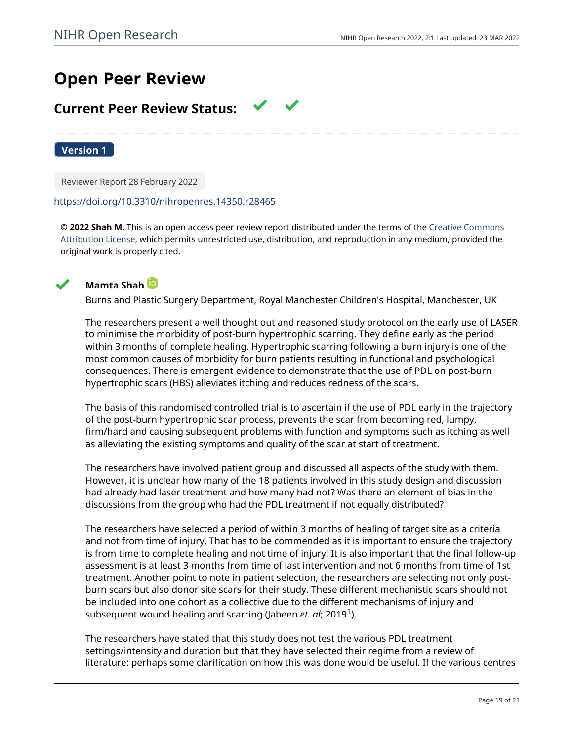# **Open Peer Review**

# **Current Peer Review Status:**

**Version 1**

Reviewer Report 28 February 2022

# <https://doi.org/10.3310/nihropenres.14350.r28465>

**© 2022 Shah M.** This is an open access peer review report distributed under the terms of the [Creative Commons](https://creativecommons.org/licenses/by/4.0/) [Attribution License](https://creativecommons.org/licenses/by/4.0/), which permits unrestricted use, distribution, and reproduction in any medium, provided the original work is properly cited.





Burns and Plastic Surgery Department, Royal Manchester Children's Hospital, Manchester, UK

The researchers present a well thought out and reasoned study protocol on the early use of LASER to minimise the morbidity of post-burn hypertrophic scarring. They define early as the period within 3 months of complete healing. Hypertrophic scarring following a burn injury is one of the most common causes of morbidity for burn patients resulting in functional and psychological consequences. There is emergent evidence to demonstrate that the use of PDL on post-burn hypertrophic scars (HBS) alleviates itching and reduces redness of the scars.

The basis of this randomised controlled trial is to ascertain if the use of PDL early in the trajectory of the post-burn hypertrophic scar process, prevents the scar from becoming red, lumpy, firm/hard and causing subsequent problems with function and symptoms such as itching as well as alleviating the existing symptoms and quality of the scar at start of treatment.

The researchers have involved patient group and discussed all aspects of the study with them. However, it is unclear how many of the 18 patients involved in this study design and discussion had already had laser treatment and how many had not? Was there an element of bias in the discussions from the group who had the PDL treatment if not equally distributed?

The researchers have selected a period of within 3 months of healing of target site as a criteria and not from time of injury. That has to be commended as it is important to ensure the trajectory is from time to complete healing and not time of injury! It is also important that the final follow-up assessment is at least 3 months from time of last intervention and not 6 months from time of 1st treatment. Another point to note in patient selection, the researchers are selecting not only postburn scars but also donor site scars for their study. These different mechanistic scars should not be included into one cohort as a collective due to the different mechanisms of injury and subsequent wound healing and scarring (Jabeen *et. al*; 20[1](jar:file:/work/f1000research/webapps/ROOT/WEB-INF/lib/service-1.0-SNAPSHOT.jar!/com/f1000research/service/export/pdf/#rep-ref-28465-1)9<sup>1</sup>).

The researchers have stated that this study does not test the various PDL treatment settings/intensity and duration but that they have selected their regime from a review of literature: perhaps some clarification on how this was done would be useful. If the various centres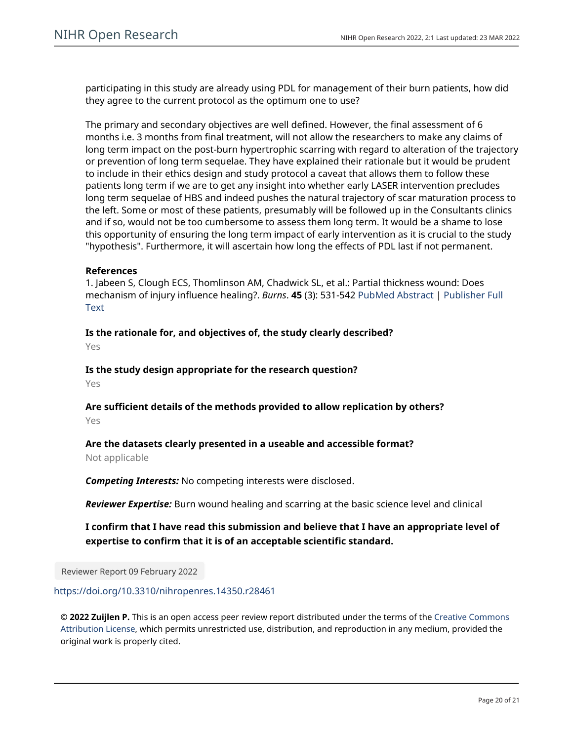participating in this study are already using PDL for management of their burn patients, how did they agree to the current protocol as the optimum one to use?

The primary and secondary objectives are well defined. However, the final assessment of 6 months i.e. 3 months from final treatment, will not allow the researchers to make any claims of long term impact on the post-burn hypertrophic scarring with regard to alteration of the trajectory or prevention of long term sequelae. They have explained their rationale but it would be prudent to include in their ethics design and study protocol a caveat that allows them to follow these patients long term if we are to get any insight into whether early LASER intervention precludes long term sequelae of HBS and indeed pushes the natural trajectory of scar maturation process to the left. Some or most of these patients, presumably will be followed up in the Consultants clinics and if so, would not be too cumbersome to assess them long term. It would be a shame to lose this opportunity of ensuring the long term impact of early intervention as it is crucial to the study "hypothesis". Furthermore, it will ascertain how long the effects of PDL last if not permanent.

# **References**

1. Jabeen S, Clough ECS, Thomlinson AM, Chadwick SL, et al.: Partial thickness wound: Does mechanism of injury influence healing?. *Burns*. **45** (3): 531-542 [PubMed Abstract](http://www.ncbi.nlm.nih.gov/pubmed/30739729) | [Publisher Full](https://doi.org/10.1016/j.burns.2018.08.010) **[Text](https://doi.org/10.1016/j.burns.2018.08.010)** 

**Is the rationale for, and objectives of, the study clearly described?**

Yes

**Is the study design appropriate for the research question?**

Yes

**Are sufficient details of the methods provided to allow replication by others?** Yes

# **Are the datasets clearly presented in a useable and accessible format?**

Not applicable

*Competing Interests:* No competing interests were disclosed.

*Reviewer Expertise:* Burn wound healing and scarring at the basic science level and clinical

# **I confirm that I have read this submission and believe that I have an appropriate level of expertise to confirm that it is of an acceptable scientific standard.**

Reviewer Report 09 February 2022

<https://doi.org/10.3310/nihropenres.14350.r28461>

**© 2022 Zuijlen P.** This is an open access peer review report distributed under the terms of the [Creative Commons](https://creativecommons.org/licenses/by/4.0/) [Attribution License](https://creativecommons.org/licenses/by/4.0/), which permits unrestricted use, distribution, and reproduction in any medium, provided the original work is properly cited.